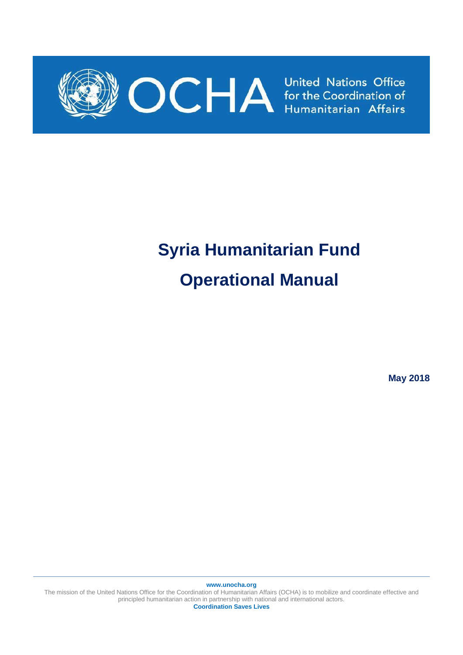

# **Syria Humanitarian Fund Operational Manual**

**May 2018**

The mission of the United Nations Office for the Coordination of Humanitarian Affairs (OCHA) is to mobilize and coordinate effective and principled humanitarian action in partnership with national and international actors. **Coordination Saves Lives**

**www.unocha.org**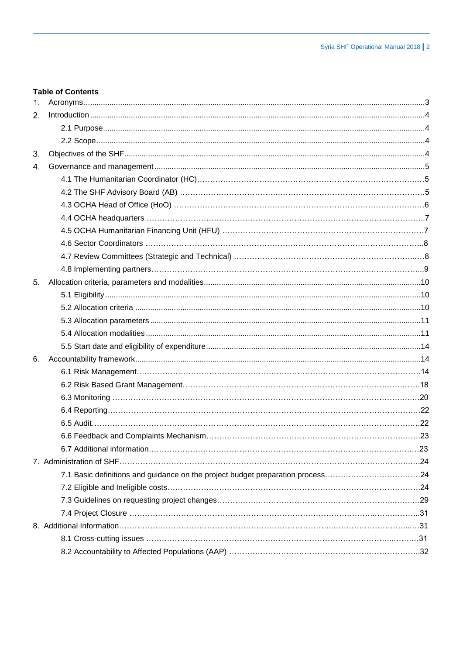## **Table of Contents**

| 1 <sub>1</sub> |                                                                                |  |
|----------------|--------------------------------------------------------------------------------|--|
| 2 <sub>1</sub> |                                                                                |  |
|                |                                                                                |  |
|                |                                                                                |  |
| 3.             |                                                                                |  |
| 4.             |                                                                                |  |
|                |                                                                                |  |
|                |                                                                                |  |
|                |                                                                                |  |
|                |                                                                                |  |
|                |                                                                                |  |
|                |                                                                                |  |
|                |                                                                                |  |
|                |                                                                                |  |
| 5.             |                                                                                |  |
|                |                                                                                |  |
|                |                                                                                |  |
|                |                                                                                |  |
|                |                                                                                |  |
|                |                                                                                |  |
| 6.             |                                                                                |  |
|                |                                                                                |  |
|                |                                                                                |  |
|                |                                                                                |  |
|                |                                                                                |  |
|                |                                                                                |  |
|                |                                                                                |  |
|                |                                                                                |  |
|                |                                                                                |  |
|                | 7.1 Basic definitions and guidance on the project budget preparation process24 |  |
|                |                                                                                |  |
|                |                                                                                |  |
|                |                                                                                |  |
|                |                                                                                |  |
|                |                                                                                |  |
|                |                                                                                |  |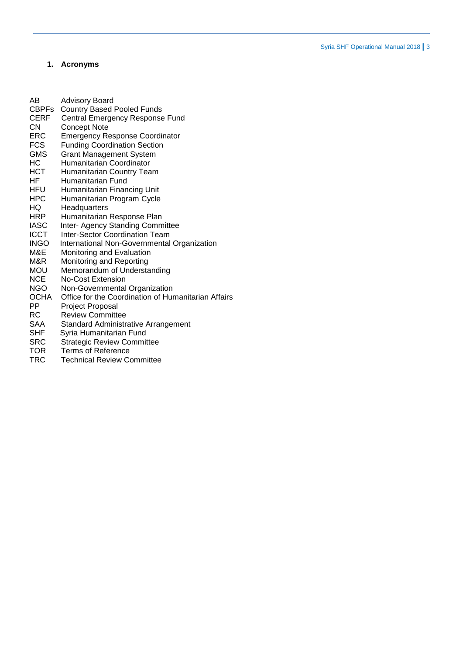# <span id="page-2-0"></span>**1. Acronyms**

| AB           | <b>Advisory Board</b>                               |
|--------------|-----------------------------------------------------|
| <b>CBPFs</b> | <b>Country Based Pooled Funds</b>                   |
| <b>CERF</b>  | Central Emergency Response Fund                     |
| CN           | <b>Concept Note</b>                                 |
| ERC          | <b>Emergency Response Coordinator</b>               |
| <b>FCS</b>   | <b>Funding Coordination Section</b>                 |
| GMS          | <b>Grant Management System</b>                      |
| НC           | Humanitarian Coordinator                            |
| <b>HCT</b>   | Humanitarian Country Team                           |
| ΗF           | Humanitarian Fund                                   |
| <b>HFU</b>   | Humanitarian Financing Unit                         |
| HPC          | Humanitarian Program Cycle                          |
| HQ           | Headquarters                                        |
| <b>HRP</b>   | Humanitarian Response Plan                          |
| <b>IASC</b>  | Inter- Agency Standing Committee                    |
| <b>ICCT</b>  | <b>Inter-Sector Coordination Team</b>               |
| <b>INGO</b>  | International Non-Governmental Organization         |
| M&E          | Monitoring and Evaluation                           |
| M&R          | Monitoring and Reporting                            |
| MOU          | Memorandum of Understanding                         |
| <b>NCE</b>   | No-Cost Extension                                   |
| <b>NGO</b>   | Non-Governmental Organization                       |
| <b>OCHA</b>  | Office for the Coordination of Humanitarian Affairs |
| PP           | <b>Project Proposal</b>                             |
| RC           | <b>Review Committee</b>                             |
| <b>SAA</b>   | <b>Standard Administrative Arrangement</b>          |
| SHF          | Syria Humanitarian Fund                             |
| <b>SRC</b>   | <b>Strategic Review Committee</b>                   |
| <b>TOR</b>   | Terms of Reference                                  |
| TRC          | <b>Technical Review Committee</b>                   |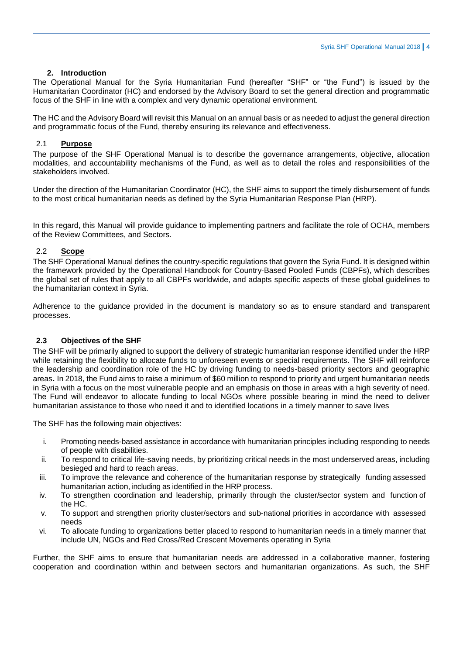#### **2. Introduction**

<span id="page-3-0"></span>The Operational Manual for the Syria Humanitarian Fund (hereafter "SHF" or "the Fund") is issued by the Humanitarian Coordinator (HC) and endorsed by the Advisory Board to set the general direction and programmatic focus of the SHF in line with a complex and very dynamic operational environment.

The HC and the Advisory Board will revisit this Manual on an annual basis or as needed to adjust the general direction and programmatic focus of the Fund, thereby ensuring its relevance and effectiveness.

#### <span id="page-3-1"></span>2.1 **Purpose**

The purpose of the SHF Operational Manual is to describe the governance arrangements, objective, allocation modalities, and accountability mechanisms of the Fund, as well as to detail the roles and responsibilities of the stakeholders involved.

Under the direction of the Humanitarian Coordinator (HC), the SHF aims to support the timely disbursement of funds to the most critical humanitarian needs as defined by the Syria Humanitarian Response Plan (HRP).

In this regard, this Manual will provide guidance to implementing partners and facilitate the role of OCHA, members of the Review Committees, and Sectors.

#### <span id="page-3-2"></span>2.2 **Scope**

The SHF Operational Manual defines the country-specific regulations that govern the Syria Fund. It is designed within the framework provided by the Operational Handbook for Country-Based Pooled Funds (CBPFs), which describes the global set of rules that apply to all CBPFs worldwide, and adapts specific aspects of these global guidelines to the humanitarian context in Syria.

Adherence to the guidance provided in the document is mandatory so as to ensure standard and transparent processes.

#### **2.3 Objectives of the SHF**

The SHF will be primarily aligned to support the delivery of strategic humanitarian response identified under the HRP while retaining the flexibility to allocate funds to unforeseen events or special requirements. The SHF will reinforce the leadership and coordination role of the HC by driving funding to needs-based priority sectors and geographic areas**.** In 2018, the Fund aims to raise a minimum of \$60 million to respond to priority and urgent humanitarian needs in Syria with a focus on the most vulnerable people and an emphasis on those in areas with a high severity of need. The Fund will endeavor to allocate funding to local NGOs where possible bearing in mind the need to deliver humanitarian assistance to those who need it and to identified locations in a timely manner to save lives

The SHF has the following main objectives:

- i. Promoting needs-based assistance in accordance with humanitarian principles including responding to needs of people with disabilities.
- ii. To respond to critical life-saving needs, by prioritizing critical needs in the most underserved areas, including besieged and hard to reach areas.
- iii. To improve the relevance and coherence of the humanitarian response by strategically funding assessed humanitarian action, including as identified in the HRP process.
- iv. To strengthen coordination and leadership, primarily through the cluster/sector system and function of the HC.
- v. To support and strengthen priority cluster/sectors and sub-national priorities in accordance with assessed needs
- vi. To allocate funding to organizations better placed to respond to humanitarian needs in a timely manner that include UN, NGOs and Red Cross/Red Crescent Movements operating in Syria

Further, the SHF aims to ensure that humanitarian needs are addressed in a collaborative manner, fostering cooperation and coordination within and between sectors and humanitarian organizations. As such, the SHF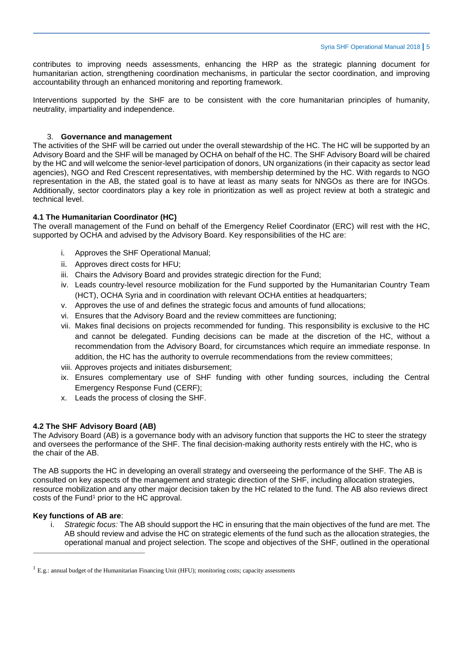contributes to improving needs assessments, enhancing the HRP as the strategic planning document for humanitarian action, strengthening coordination mechanisms, in particular the sector coordination, and improving accountability through an enhanced monitoring and reporting framework.

<span id="page-4-0"></span>Interventions supported by the SHF are to be consistent with the core humanitarian principles of humanity, neutrality, impartiality and independence.

#### 3. **Governance and management**

The activities of the SHF will be carried out under the overall stewardship of the HC. The HC will be supported by an Advisory Board and the SHF will be managed by OCHA on behalf of the HC. The SHF Advisory Board will be chaired by the HC and will welcome the senior-level participation of donors, UN organizations (in their capacity as sector lead agencies), NGO and Red Crescent representatives, with membership determined by the HC. With regards to NGO representation in the AB, the stated goal is to have at least as many seats for NNGOs as there are for INGOs. Additionally, sector coordinators play a key role in prioritization as well as project review at both a strategic and technical level.

#### **4.1 The Humanitarian Coordinator (HC)**

The overall management of the Fund on behalf of the Emergency Relief Coordinator (ERC) will rest with the HC, supported by OCHA and advised by the Advisory Board. Key responsibilities of the HC are:

- i. Approves the SHF Operational Manual;
- ii. Approves direct costs for HFU;
- iii. Chairs the Advisory Board and provides strategic direction for the Fund;
- iv. Leads country-level resource mobilization for the Fund supported by the Humanitarian Country Team (HCT), OCHA Syria and in coordination with relevant OCHA entities at headquarters;
- v. Approves the use of and defines the strategic focus and amounts of fund allocations;
- vi. Ensures that the Advisory Board and the review committees are functioning;
- vii. Makes final decisions on projects recommended for funding. This responsibility is exclusive to the HC and cannot be delegated. Funding decisions can be made at the discretion of the HC, without a recommendation from the Advisory Board, for circumstances which require an immediate response. In addition, the HC has the authority to overrule recommendations from the review committees;
- viii. Approves projects and initiates disbursement;
- ix. Ensures complementary use of SHF funding with other funding sources, including the Central Emergency Response Fund (CERF);
- x. Leads the process of closing the SHF.

#### **4.2 The SHF Advisory Board (AB)**

The Advisory Board (AB) is a governance body with an advisory function that supports the HC to steer the strategy and oversees the performance of the SHF. The final decision-making authority rests entirely with the HC, who is the chair of the AB.

The AB supports the HC in developing an overall strategy and overseeing the performance of the SHF. The AB is consulted on key aspects of the management and strategic direction of the SHF, including allocation strategies, resource mobilization and any other major decision taken by the HC related to the fund. The AB also reviews direct costs of the Fund<sup>1</sup> prior to the HC approval.

#### **Key functions of AB are**:

 $\overline{a}$ 

i. *Strategic focus:* The AB should support the HC in ensuring that the main objectives of the fund are met. The AB should review and advise the HC on strategic elements of the fund such as the allocation strategies, the operational manual and project selection. The scope and objectives of the SHF, outlined in the operational

 $1$  E.g.: annual budget of the Humanitarian Financing Unit (HFU); monitoring costs; capacity assessments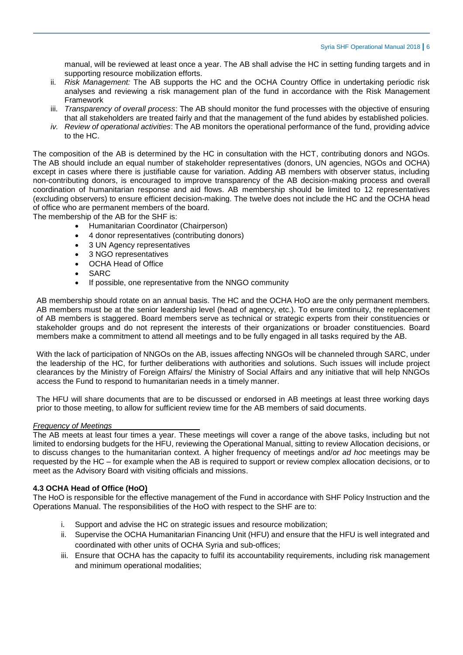manual, will be reviewed at least once a year. The AB shall advise the HC in setting funding targets and in supporting resource mobilization efforts.

- ii. *Risk Management:* The AB supports the HC and the OCHA Country Office in undertaking periodic risk analyses and reviewing a risk management plan of the fund in accordance with the Risk Management Framework
- iii. *Transparency of overall process*: The AB should monitor the fund processes with the objective of ensuring that all stakeholders are treated fairly and that the management of the fund abides by established policies.
- *iv. Review of operational activities*: The AB monitors the operational performance of the fund, providing advice to the HC.

The composition of the AB is determined by the HC in consultation with the HCT, contributing donors and NGOs. The AB should include an equal number of stakeholder representatives (donors, UN agencies, NGOs and OCHA) except in cases where there is justifiable cause for variation. Adding AB members with observer status, including non-contributing donors, is encouraged to improve transparency of the AB decision-making process and overall coordination of humanitarian response and aid flows. AB membership should be limited to 12 representatives (excluding observers) to ensure efficient decision-making. The twelve does not include the HC and the OCHA head of office who are permanent members of the board.

The membership of the AB for the SHF is:

- Humanitarian Coordinator (Chairperson)
- 4 donor representatives (contributing donors)
- 3 UN Agency representatives
- 3 NGO representatives
- OCHA Head of Office
- SARC
- If possible, one representative from the NNGO community

AB membership should rotate on an annual basis. The HC and the OCHA HoO are the only permanent members. AB members must be at the senior leadership level (head of agency, etc.). To ensure continuity, the replacement of AB members is staggered. Board members serve as technical or strategic experts from their constituencies or stakeholder groups and do not represent the interests of their organizations or broader constituencies. Board members make a commitment to attend all meetings and to be fully engaged in all tasks required by the AB.

With the lack of participation of NNGOs on the AB, issues affecting NNGOs will be channeled through SARC, under the leadership of the HC, for further deliberations with authorities and solutions. Such issues will include project clearances by the Ministry of Foreign Affairs/ the Ministry of Social Affairs and any initiative that will help NNGOs access the Fund to respond to humanitarian needs in a timely manner.

The HFU will share documents that are to be discussed or endorsed in AB meetings at least three working days prior to those meeting, to allow for sufficient review time for the AB members of said documents.

#### *Frequency of Meetings*

The AB meets at least four times a year. These meetings will cover a range of the above tasks, including but not limited to endorsing budgets for the HFU, reviewing the Operational Manual, sitting to review Allocation decisions, or to discuss changes to the humanitarian context. A higher frequency of meetings and/or *ad hoc* meetings may be requested by the HC – for example when the AB is required to support or review complex allocation decisions, or to meet as the Advisory Board with visiting officials and missions.

#### **4.3 OCHA Head of Office (HoO)**

The HoO is responsible for the effective management of the Fund in accordance with SHF Policy Instruction and the Operations Manual. The responsibilities of the HoO with respect to the SHF are to:

- i. Support and advise the HC on strategic issues and resource mobilization;
- ii. Supervise the OCHA Humanitarian Financing Unit (HFU) and ensure that the HFU is well integrated and coordinated with other units of OCHA Syria and sub-offices;
- iii. Ensure that OCHA has the capacity to fulfil its accountability requirements, including risk management and minimum operational modalities;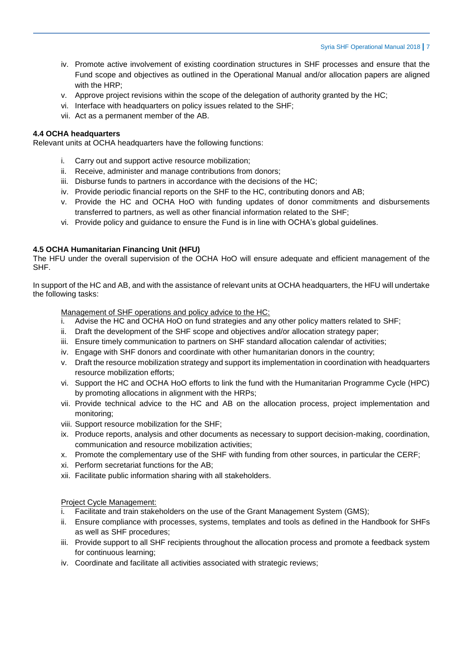- iv. Promote active involvement of existing coordination structures in SHF processes and ensure that the Fund scope and objectives as outlined in the Operational Manual and/or allocation papers are aligned with the HRP;
- v. Approve project revisions within the scope of the delegation of authority granted by the HC;
- vi. Interface with headquarters on policy issues related to the SHF;
- vii. Act as a permanent member of the AB.

## **4.4 OCHA headquarters**

Relevant units at OCHA headquarters have the following functions:

- i. Carry out and support active resource mobilization;
- ii. Receive, administer and manage contributions from donors;
- iii. Disburse funds to partners in accordance with the decisions of the HC;
- iv. Provide periodic financial reports on the SHF to the HC, contributing donors and AB;
- v. Provide the HC and OCHA HoO with funding updates of donor commitments and disbursements transferred to partners, as well as other financial information related to the SHF;
- vi. Provide policy and guidance to ensure the Fund is in line with OCHA's global guidelines.

# **4.5 OCHA Humanitarian Financing Unit (HFU)**

The HFU under the overall supervision of the OCHA HoO will ensure adequate and efficient management of the SHF.

In support of the HC and AB, and with the assistance of relevant units at OCHA headquarters, the HFU will undertake the following tasks:

Management of SHF operations and policy advice to the HC:

- i. Advise the HC and OCHA HoO on fund strategies and any other policy matters related to SHF;
- ii. Draft the development of the SHF scope and objectives and/or allocation strategy paper;
- iii. Ensure timely communication to partners on SHF standard allocation calendar of activities;
- iv. Engage with SHF donors and coordinate with other humanitarian donors in the country;
- v. Draft the resource mobilization strategy and support its implementation in coordination with headquarters resource mobilization efforts;
- vi. Support the HC and OCHA HoO efforts to link the fund with the Humanitarian Programme Cycle (HPC) by promoting allocations in alignment with the HRPs;
- vii. Provide technical advice to the HC and AB on the allocation process, project implementation and monitoring;
- viii. Support resource mobilization for the SHF;
- ix. Produce reports, analysis and other documents as necessary to support decision-making, coordination, communication and resource mobilization activities;
- x. Promote the complementary use of the SHF with funding from other sources, in particular the CERF;
- xi. Perform secretariat functions for the AB;
- xii. Facilitate public information sharing with all stakeholders.

## Project Cycle Management:

- i. Facilitate and train stakeholders on the use of the Grant Management System (GMS);
- ii. Ensure compliance with processes, systems, templates and tools as defined in the Handbook for SHFs as well as SHF procedures;
- iii. Provide support to all SHF recipients throughout the allocation process and promote a feedback system for continuous learning;
- iv. Coordinate and facilitate all activities associated with strategic reviews;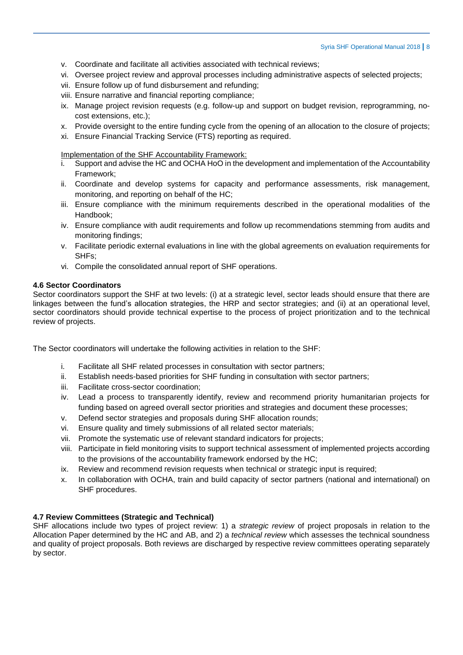- v. Coordinate and facilitate all activities associated with technical reviews;
- vi. Oversee project review and approval processes including administrative aspects of selected projects;
- vii. Ensure follow up of fund disbursement and refunding;
- viii. Ensure narrative and financial reporting compliance;
- ix. Manage project revision requests (e.g. follow-up and support on budget revision, reprogramming, nocost extensions, etc.);
- x. Provide oversight to the entire funding cycle from the opening of an allocation to the closure of projects;
- xi. Ensure Financial Tracking Service (FTS) reporting as required.

Implementation of the SHF Accountability Framework:

- Support and advise the HC and OCHA HoO in the development and implementation of the Accountability Framework;
- ii. Coordinate and develop systems for capacity and performance assessments, risk management, monitoring, and reporting on behalf of the HC;
- iii. Ensure compliance with the minimum requirements described in the operational modalities of the Handbook;
- iv. Ensure compliance with audit requirements and follow up recommendations stemming from audits and monitoring findings;
- v. Facilitate periodic external evaluations in line with the global agreements on evaluation requirements for SHFs;
- vi. Compile the consolidated annual report of SHF operations.

## **4.6 Sector Coordinators**

Sector coordinators support the SHF at two levels: (i) at a strategic level, sector leads should ensure that there are linkages between the fund's allocation strategies, the HRP and sector strategies; and (ii) at an operational level, sector coordinators should provide technical expertise to the process of project prioritization and to the technical review of projects.

The Sector coordinators will undertake the following activities in relation to the SHF:

- i. Facilitate all SHF related processes in consultation with sector partners;
- ii. Establish needs-based priorities for SHF funding in consultation with sector partners;
- iii. Facilitate cross-sector coordination;
- iv. Lead a process to transparently identify, review and recommend priority humanitarian projects for funding based on agreed overall sector priorities and strategies and document these processes;
- v. Defend sector strategies and proposals during SHF allocation rounds;
- vi. Ensure quality and timely submissions of all related sector materials;
- vii. Promote the systematic use of relevant standard indicators for projects;
- viii. Participate in field monitoring visits to support technical assessment of implemented projects according to the provisions of the accountability framework endorsed by the HC;
- ix. Review and recommend revision requests when technical or strategic input is required;
- x. In collaboration with OCHA, train and build capacity of sector partners (national and international) on SHF procedures.

## **4.7 Review Committees (Strategic and Technical)**

SHF allocations include two types of project review: 1) a *strategic review* of project proposals in relation to the Allocation Paper determined by the HC and AB, and 2) a *technical review* which assesses the technical soundness and quality of project proposals. Both reviews are discharged by respective review committees operating separately by sector.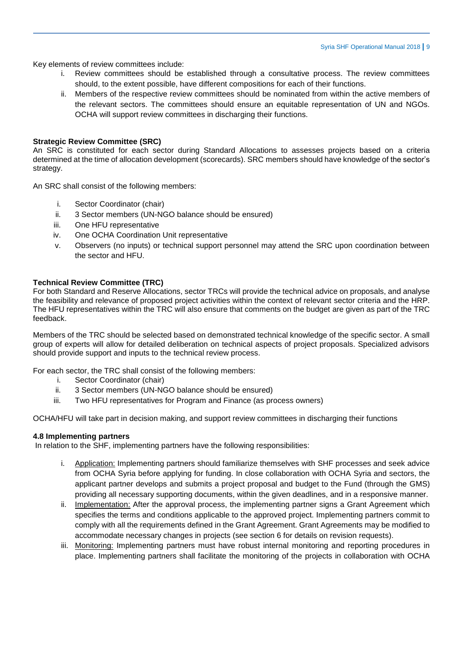Key elements of review committees include:

- i. Review committees should be established through a consultative process. The review committees should, to the extent possible, have different compositions for each of their functions.
- ii. Members of the respective review committees should be nominated from within the active members of the relevant sectors. The committees should ensure an equitable representation of UN and NGOs. OCHA will support review committees in discharging their functions.

## **Strategic Review Committee (SRC)**

An SRC is constituted for each sector during Standard Allocations to assesses projects based on a criteria determined at the time of allocation development (scorecards). SRC members should have knowledge of the sector's strategy.

An SRC shall consist of the following members:

- i. Sector Coordinator (chair)
- ii. 3 Sector members (UN-NGO balance should be ensured)
- iii. One HFU representative
- iv. One OCHA Coordination Unit representative
- v. Observers (no inputs) or technical support personnel may attend the SRC upon coordination between the sector and HFU.

#### **Technical Review Committee (TRC)**

For both Standard and Reserve Allocations, sector TRCs will provide the technical advice on proposals, and analyse the feasibility and relevance of proposed project activities within the context of relevant sector criteria and the HRP. The HFU representatives within the TRC will also ensure that comments on the budget are given as part of the TRC feedback.

Members of the TRC should be selected based on demonstrated technical knowledge of the specific sector. A small group of experts will allow for detailed deliberation on technical aspects of project proposals. Specialized advisors should provide support and inputs to the technical review process.

For each sector, the TRC shall consist of the following members:

- i. Sector Coordinator (chair)
- ii. 3 Sector members (UN-NGO balance should be ensured)
- iii. Two HFU representatives for Program and Finance (as process owners)

OCHA/HFU will take part in decision making, and support review committees in discharging their functions

#### **4.8 Implementing partners**

In relation to the SHF, implementing partners have the following responsibilities:

- i. Application: Implementing partners should familiarize themselves with SHF processes and seek advice from OCHA Syria before applying for funding. In close collaboration with OCHA Syria and sectors, the applicant partner develops and submits a project proposal and budget to the Fund (through the GMS) providing all necessary supporting documents, within the given deadlines, and in a responsive manner.
- ii. Implementation: After the approval process, the implementing partner signs a Grant Agreement which specifies the terms and conditions applicable to the approved project. Implementing partners commit to comply with all the requirements defined in the Grant Agreement. Grant Agreements may be modified to accommodate necessary changes in projects (see section 6 for details on revision requests).
- iii. Monitoring: Implementing partners must have robust internal monitoring and reporting procedures in place. Implementing partners shall facilitate the monitoring of the projects in collaboration with OCHA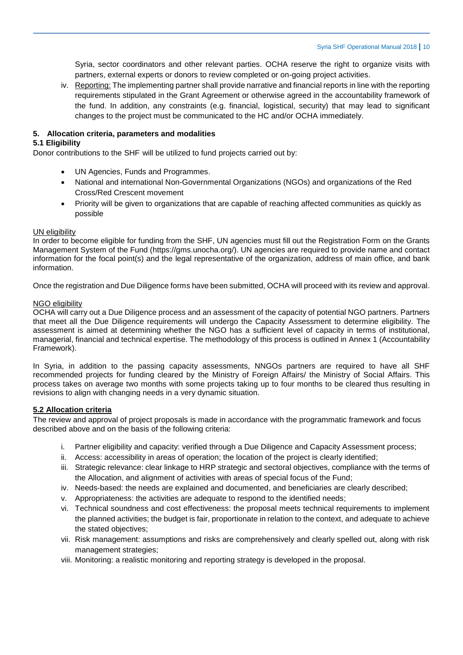Syria, sector coordinators and other relevant parties. OCHA reserve the right to organize visits with partners, external experts or donors to review completed or on-going project activities.

iv. Reporting: The implementing partner shall provide narrative and financial reports in line with the reporting requirements stipulated in the Grant Agreement or otherwise agreed in the accountability framework of the fund. In addition, any constraints (e.g. financial, logistical, security) that may lead to significant changes to the project must be communicated to the HC and/or OCHA immediately.

## <span id="page-9-0"></span>**5. Allocation criteria, parameters and modalities**

## <span id="page-9-1"></span>**5.1 Eligibility**

Donor contributions to the SHF will be utilized to fund projects carried out by:

- UN Agencies, Funds and Programmes.
- National and international Non-Governmental Organizations (NGOs) and organizations of the Red Cross/Red Crescent movement
- Priority will be given to organizations that are capable of reaching affected communities as quickly as possible

## UN eligibility

In order to become eligible for funding from the SHF, UN agencies must fill out the Registration Form on the Grants Management System of the Fund (https://gms.unocha.org/). UN agencies are required to provide name and contact information for the focal point(s) and the legal representative of the organization, address of main office, and bank information.

Once the registration and Due Diligence forms have been submitted, OCHA will proceed with its review and approval.

#### NGO eligibility

OCHA will carry out a Due Diligence process and an assessment of the capacity of potential NGO partners. Partners that meet all the Due Diligence requirements will undergo the Capacity Assessment to determine eligibility. The assessment is aimed at determining whether the NGO has a sufficient level of capacity in terms of institutional, managerial, financial and technical expertise. The methodology of this process is outlined in Annex 1 (Accountability Framework).

In Syria, in addition to the passing capacity assessments, NNGOs partners are required to have all SHF recommended projects for funding cleared by the Ministry of Foreign Affairs/ the Ministry of Social Affairs. This process takes on average two months with some projects taking up to four months to be cleared thus resulting in revisions to align with changing needs in a very dynamic situation.

## <span id="page-9-2"></span>**5.2 Allocation criteria**

The review and approval of project proposals is made in accordance with the programmatic framework and focus described above and on the basis of the following criteria:

- i. Partner eligibility and capacity: verified through a Due Diligence and Capacity Assessment process;
- ii. Access: accessibility in areas of operation; the location of the project is clearly identified;
- iii. Strategic relevance: clear linkage to HRP strategic and sectoral objectives, compliance with the terms of the Allocation, and alignment of activities with areas of special focus of the Fund;
- iv. Needs-based: the needs are explained and documented, and beneficiaries are clearly described;
- v. Appropriateness: the activities are adequate to respond to the identified needs;
- vi. Technical soundness and cost effectiveness: the proposal meets technical requirements to implement the planned activities; the budget is fair, proportionate in relation to the context, and adequate to achieve the stated objectives;
- vii. Risk management: assumptions and risks are comprehensively and clearly spelled out, along with risk management strategies;
- viii. Monitoring: a realistic monitoring and reporting strategy is developed in the proposal.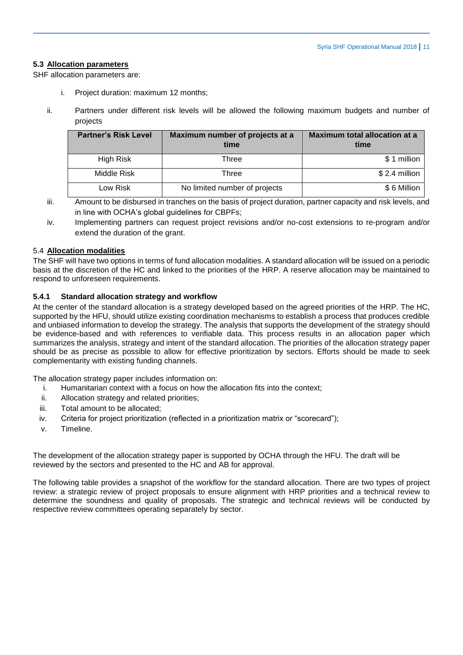## <span id="page-10-0"></span>**5.3 Allocation parameters**

SHF allocation parameters are:

- i. Project duration: maximum 12 months;
- ii. Partners under different risk levels will be allowed the following maximum budgets and number of projects

| <b>Partner's Risk Level</b> | Maximum number of projects at a<br>time | <b>Maximum total allocation at a</b><br>time |
|-----------------------------|-----------------------------------------|----------------------------------------------|
| High Risk                   | Three                                   | \$1 million                                  |
| Middle Risk                 | Three                                   | $$2.4$ million                               |
| Low Risk                    | No limited number of projects           | \$6 Million                                  |

- iii. Amount to be disbursed in tranches on the basis of project duration, partner capacity and risk levels, and in line with OCHA's global guidelines for CBPFs;
- iv. Implementing partners can request project revisions and/or no-cost extensions to re-program and/or extend the duration of the grant.

#### <span id="page-10-1"></span>5.4 **Allocation modalities**

The SHF will have two options in terms of fund allocation modalities. A standard allocation will be issued on a periodic basis at the discretion of the HC and linked to the priorities of the HRP. A reserve allocation may be maintained to respond to unforeseen requirements.

#### **5.4.1 Standard allocation strategy and workflow**

At the center of the standard allocation is a strategy developed based on the agreed priorities of the HRP. The HC, supported by the HFU, should utilize existing coordination mechanisms to establish a process that produces credible and unbiased information to develop the strategy. The analysis that supports the development of the strategy should be evidence-based and with references to verifiable data. This process results in an allocation paper which summarizes the analysis, strategy and intent of the standard allocation. The priorities of the allocation strategy paper should be as precise as possible to allow for effective prioritization by sectors. Efforts should be made to seek complementarity with existing funding channels.

The allocation strategy paper includes information on:

- i. Humanitarian context with a focus on how the allocation fits into the context;
- ii. Allocation strategy and related priorities;
- iii. Total amount to be allocated;
- iv. Criteria for project prioritization (reflected in a prioritization matrix or "scorecard");
- v. Timeline.

The development of the allocation strategy paper is supported by OCHA through the HFU. The draft will be reviewed by the sectors and presented to the HC and AB for approval.

The following table provides a snapshot of the workflow for the standard allocation. There are two types of project review: a strategic review of project proposals to ensure alignment with HRP priorities and a technical review to determine the soundness and quality of proposals. The strategic and technical reviews will be conducted by respective review committees operating separately by sector.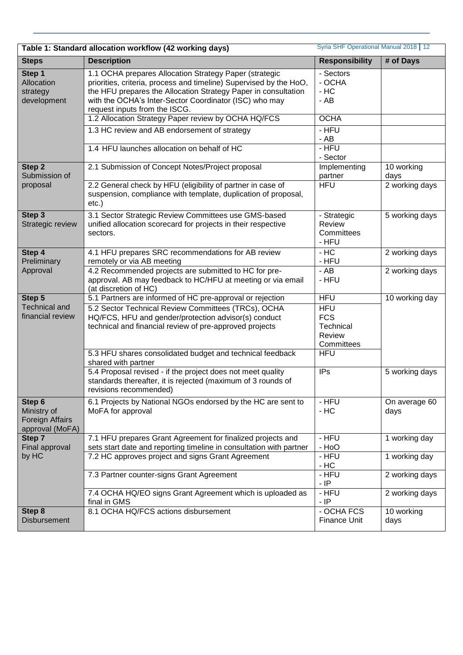| Syria SHF Operational Manual 2018   12<br>Table 1: Standard allocation workflow (42 working days) |                                                                                                                                                                                                                                                                                           |                                                               |                       |  |  |  |
|---------------------------------------------------------------------------------------------------|-------------------------------------------------------------------------------------------------------------------------------------------------------------------------------------------------------------------------------------------------------------------------------------------|---------------------------------------------------------------|-----------------------|--|--|--|
| <b>Steps</b>                                                                                      | <b>Description</b>                                                                                                                                                                                                                                                                        | <b>Responsibility</b>                                         | # of Days             |  |  |  |
| Step 1<br>Allocation<br>strategy<br>development                                                   | 1.1 OCHA prepares Allocation Strategy Paper (strategic<br>priorities, criteria, process and timeline) Supervised by the HoO,<br>the HFU prepares the Allocation Strategy Paper in consultation<br>with the OCHA's Inter-Sector Coordinator (ISC) who may<br>request inputs from the ISCG. | - Sectors<br>- OCHA<br>$-$ HC<br>$-$ AB                       |                       |  |  |  |
|                                                                                                   | 1.2 Allocation Strategy Paper review by OCHA HQ/FCS                                                                                                                                                                                                                                       | <b>OCHA</b>                                                   |                       |  |  |  |
|                                                                                                   | 1.3 HC review and AB endorsement of strategy                                                                                                                                                                                                                                              | - HFU<br>- AB                                                 |                       |  |  |  |
|                                                                                                   | 1.4 HFU launches allocation on behalf of HC                                                                                                                                                                                                                                               | - HFU<br>- Sector                                             |                       |  |  |  |
| Step 2<br>Submission of                                                                           | 2.1 Submission of Concept Notes/Project proposal                                                                                                                                                                                                                                          | Implementing<br>partner                                       | 10 working<br>days    |  |  |  |
| proposal                                                                                          | 2.2 General check by HFU (eligibility of partner in case of<br>suspension, compliance with template, duplication of proposal,<br>$etc.$ )                                                                                                                                                 | <b>HFU</b>                                                    | 2 working days        |  |  |  |
| Step 3<br>Strategic review                                                                        | 3.1 Sector Strategic Review Committees use GMS-based<br>unified allocation scorecard for projects in their respective<br>sectors.                                                                                                                                                         | - Strategic<br>Review<br>Committees<br>- HFU                  | 5 working days        |  |  |  |
| Step 4<br>Preliminary                                                                             | 4.1 HFU prepares SRC recommendations for AB review<br>remotely or via AB meeting                                                                                                                                                                                                          | $-HC$<br>- HFU                                                | 2 working days        |  |  |  |
| Approval                                                                                          | 4.2 Recommended projects are submitted to HC for pre-<br>approval. AB may feedback to HC/HFU at meeting or via email<br>(at discretion of HC)                                                                                                                                             | $-$ AB<br>- HFU                                               | 2 working days        |  |  |  |
| Step 5                                                                                            | 5.1 Partners are informed of HC pre-approval or rejection                                                                                                                                                                                                                                 | <b>HFU</b>                                                    | 10 working day        |  |  |  |
| <b>Technical and</b><br>financial review                                                          | 5.2 Sector Technical Review Committees (TRCs), OCHA<br>HQ/FCS, HFU and gender/protection advisor(s) conduct<br>technical and financial review of pre-approved projects                                                                                                                    | <b>HFU</b><br><b>FCS</b><br>Technical<br>Review<br>Committees |                       |  |  |  |
|                                                                                                   | 5.3 HFU shares consolidated budget and technical feedback<br>shared with partner                                                                                                                                                                                                          | <b>HFU</b>                                                    |                       |  |  |  |
|                                                                                                   | 5.4 Proposal revised - if the project does not meet quality<br>standards thereafter, it is rejected (maximum of 3 rounds of<br>revisions recommended)                                                                                                                                     | <b>IPs</b>                                                    | 5 working days        |  |  |  |
| Step 6<br>Ministry of<br>Foreign Affairs<br>approval (MoFA)                                       | 6.1 Projects by National NGOs endorsed by the HC are sent to<br>MoFA for approval                                                                                                                                                                                                         | - HFU<br>$-$ HC                                               | On average 60<br>days |  |  |  |
| Step 7<br>Final approval                                                                          | 7.1 HFU prepares Grant Agreement for finalized projects and<br>sets start date and reporting timeline in consultation with partner                                                                                                                                                        | - HFU<br>- HoO                                                | 1 working day         |  |  |  |
| by HC                                                                                             | 7.2 HC approves project and signs Grant Agreement                                                                                                                                                                                                                                         | - HFU<br>$-$ HC                                               | 1 working day         |  |  |  |
|                                                                                                   | 7.3 Partner counter-signs Grant Agreement                                                                                                                                                                                                                                                 | - HFU<br>$-$ IP                                               | 2 working days        |  |  |  |
|                                                                                                   | 7.4 OCHA HQ/EO signs Grant Agreement which is uploaded as<br>final in GMS                                                                                                                                                                                                                 | - HFU<br>- IP                                                 | 2 working days        |  |  |  |
| Step 8<br><b>Disbursement</b>                                                                     | 8.1 OCHA HQ/FCS actions disbursement                                                                                                                                                                                                                                                      | - OCHA FCS<br><b>Finance Unit</b>                             | 10 working<br>days    |  |  |  |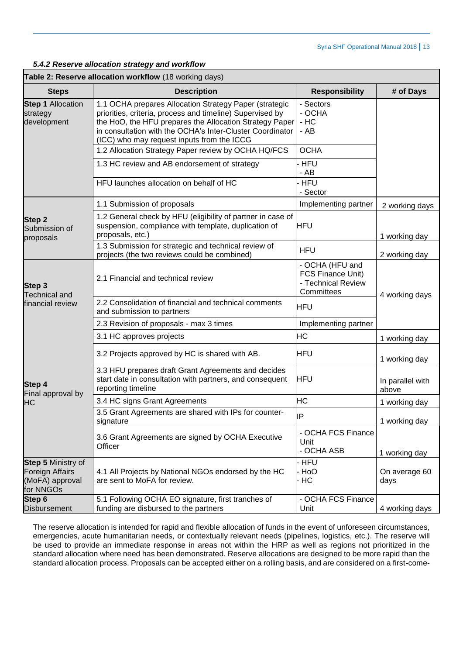#### *5.4.2 Reserve allocation strategy and workflow*

## **Table 2: Reserve allocation workflow** (18 working days)

| <b>Steps</b>                                                                        | <b>Description</b>                                                                                                                                                                                                                                                                        | <b>Responsibility</b>                                                    | # of Days                                                                                                                                                  |
|-------------------------------------------------------------------------------------|-------------------------------------------------------------------------------------------------------------------------------------------------------------------------------------------------------------------------------------------------------------------------------------------|--------------------------------------------------------------------------|------------------------------------------------------------------------------------------------------------------------------------------------------------|
| <b>Step 1 Allocation</b><br>strategy<br>development                                 | 1.1 OCHA prepares Allocation Strategy Paper (strategic<br>priorities, criteria, process and timeline) Supervised by<br>the HoO, the HFU prepares the Allocation Strategy Paper<br>in consultation with the OCHA's Inter-Cluster Coordinator<br>(ICC) who may request inputs from the ICCG | - Sectors<br>- OCHA<br>$-HC$<br>- AB                                     |                                                                                                                                                            |
|                                                                                     | 1.2 Allocation Strategy Paper review by OCHA HQ/FCS                                                                                                                                                                                                                                       | <b>OCHA</b>                                                              |                                                                                                                                                            |
|                                                                                     | 1.3 HC review and AB endorsement of strategy                                                                                                                                                                                                                                              | HFU<br>- AB                                                              |                                                                                                                                                            |
|                                                                                     | HFU launches allocation on behalf of HC                                                                                                                                                                                                                                                   | <b>HFU</b><br>- Sector                                                   |                                                                                                                                                            |
|                                                                                     | 1.1 Submission of proposals                                                                                                                                                                                                                                                               | Implementing partner                                                     | 2 working days                                                                                                                                             |
| <b>Step 2</b><br>Submission of<br>proposals                                         | 1.2 General check by HFU (eligibility of partner in case of<br>suspension, compliance with template, duplication of<br>proposals, etc.)                                                                                                                                                   | <b>HFU</b>                                                               |                                                                                                                                                            |
|                                                                                     | 1.3 Submission for strategic and technical review of<br>projects (the two reviews could be combined)                                                                                                                                                                                      | <b>HFU</b>                                                               | 2 working day                                                                                                                                              |
| Step 3<br><b>Technical and</b>                                                      | 2.1 Financial and technical review                                                                                                                                                                                                                                                        | - OCHA (HFU and<br>FCS Finance Unit)<br>- Technical Review<br>Committees |                                                                                                                                                            |
| financial review                                                                    | 2.2 Consolidation of financial and technical comments<br>and submission to partners                                                                                                                                                                                                       | <b>HFU</b>                                                               |                                                                                                                                                            |
|                                                                                     | 2.3 Revision of proposals - max 3 times                                                                                                                                                                                                                                                   | Implementing partner                                                     |                                                                                                                                                            |
|                                                                                     | 3.1 HC approves projects                                                                                                                                                                                                                                                                  | <b>HC</b>                                                                | 1 working day                                                                                                                                              |
|                                                                                     | 3.2 Projects approved by HC is shared with AB.                                                                                                                                                                                                                                            | <b>HFU</b>                                                               | 1 working day                                                                                                                                              |
| Step 4<br>Final approval by                                                         | 3.3 HFU prepares draft Grant Agreements and decides<br>start date in consultation with partners, and consequent<br>reporting timeline                                                                                                                                                     | <b>HFU</b>                                                               | 1 working day<br>4 working days<br>In parallel with<br>above<br>1 working day<br>1 working day<br>1 working day<br>On average 60<br>days<br>4 working days |
| <b>HC</b>                                                                           | 3.4 HC signs Grant Agreements                                                                                                                                                                                                                                                             | HС                                                                       |                                                                                                                                                            |
|                                                                                     | 3.5 Grant Agreements are shared with IPs for counter-<br>signature                                                                                                                                                                                                                        | İΡ                                                                       |                                                                                                                                                            |
|                                                                                     | 3.6 Grant Agreements are signed by OCHA Executive<br>Officer                                                                                                                                                                                                                              | - OCHA FCS Finance<br>Unit<br>- OCHA ASB                                 |                                                                                                                                                            |
| <b>Step 5 Ministry of</b><br><b>Foreign Affairs</b><br>(MoFA) approval<br>for NNGOs | 4.1 All Projects by National NGOs endorsed by the HC<br>are sent to MoFA for review.                                                                                                                                                                                                      | HFU<br>HoO<br>· HC                                                       |                                                                                                                                                            |
| Step 6<br><b>Disbursement</b>                                                       | 5.1 Following OCHA EO signature, first tranches of<br>funding are disbursed to the partners                                                                                                                                                                                               | - OCHA FCS Finance<br>Unit                                               |                                                                                                                                                            |

The reserve allocation is intended for rapid and flexible allocation of funds in the event of unforeseen circumstances, emergencies, acute humanitarian needs, or contextually relevant needs (pipelines, logistics, etc.). The reserve will be used to provide an immediate response in areas not within the HRP as well as regions not prioritized in the standard allocation where need has been demonstrated. Reserve allocations are designed to be more rapid than the standard allocation process. Proposals can be accepted either on a rolling basis, and are considered on a first-come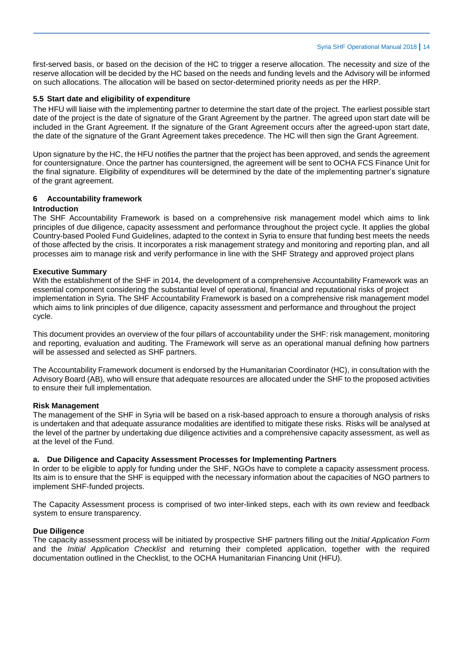first-served basis, or based on the decision of the HC to trigger a reserve allocation. The necessity and size of the reserve allocation will be decided by the HC based on the needs and funding levels and the Advisory will be informed on such allocations. The allocation will be based on sector-determined priority needs as per the HRP.

#### <span id="page-13-0"></span>**5.5 Start date and eligibility of expenditure**

The HFU will liaise with the implementing partner to determine the start date of the project. The earliest possible start date of the project is the date of signature of the Grant Agreement by the partner. The agreed upon start date will be included in the Grant Agreement. If the signature of the Grant Agreement occurs after the agreed-upon start date, the date of the signature of the Grant Agreement takes precedence. The HC will then sign the Grant Agreement.

Upon signature by the HC, the HFU notifies the partner that the project has been approved, and sends the agreement for countersignature. Once the partner has countersigned, the agreement will be sent to OCHA FCS Finance Unit for the final signature. Eligibility of expenditures will be determined by the date of the implementing partner's signature of the grant agreement.

#### <span id="page-13-1"></span>**6 Accountability framework**

#### **Introduction**

The SHF Accountability Framework is based on a comprehensive risk management model which aims to link principles of due diligence, capacity assessment and performance throughout the project cycle. It applies the global Country-based Pooled Fund Guidelines, adapted to the context in Syria to ensure that funding best meets the needs of those affected by the crisis. It incorporates a risk management strategy and monitoring and reporting plan, and all processes aim to manage risk and verify performance in line with the SHF Strategy and approved project plans

#### **Executive Summary**

With the establishment of the SHF in 2014, the development of a comprehensive Accountability Framework was an essential component considering the substantial level of operational, financial and reputational risks of project implementation in Syria. The SHF Accountability Framework is based on a comprehensive risk management model which aims to link principles of due diligence, capacity assessment and performance and throughout the project cycle.

This document provides an overview of the four pillars of accountability under the SHF: risk management, monitoring and reporting, evaluation and auditing. The Framework will serve as an operational manual defining how partners will be assessed and selected as SHF partners.

The Accountability Framework document is endorsed by the Humanitarian Coordinator (HC), in consultation with the Advisory Board (AB), who will ensure that adequate resources are allocated under the SHF to the proposed activities to ensure their full implementation.

#### **Risk Management**

The management of the SHF in Syria will be based on a risk-based approach to ensure a thorough analysis of risks is undertaken and that adequate assurance modalities are identified to mitigate these risks. Risks will be analysed at the level of the partner by undertaking due diligence activities and a comprehensive capacity assessment, as well as at the level of the Fund.

#### **a. Due Diligence and Capacity Assessment Processes for Implementing Partners**

In order to be eligible to apply for funding under the SHF, NGOs have to complete a capacity assessment process. Its aim is to ensure that the SHF is equipped with the necessary information about the capacities of NGO partners to implement SHF-funded projects.

The Capacity Assessment process is comprised of two inter-linked steps, each with its own review and feedback system to ensure transparency.

## **Due Diligence**

The capacity assessment process will be initiated by prospective SHF partners filling out the *Initial Application Form* and the *Initial Application Checklist* and returning their completed application, together with the required documentation outlined in the Checklist, to the OCHA Humanitarian Financing Unit (HFU).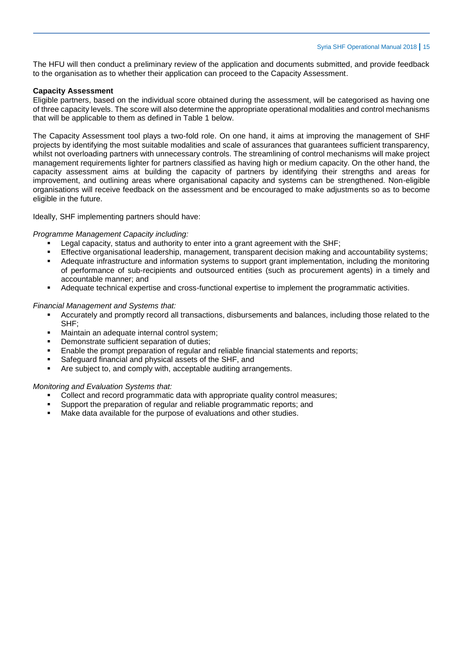The HFU will then conduct a preliminary review of the application and documents submitted, and provide feedback to the organisation as to whether their application can proceed to the Capacity Assessment.

#### **Capacity Assessment**

Eligible partners, based on the individual score obtained during the assessment, will be categorised as having one of three capacity levels. The score will also determine the appropriate operational modalities and control mechanisms that will be applicable to them as defined in Table 1 below.

The Capacity Assessment tool plays a two-fold role. On one hand, it aims at improving the management of SHF projects by identifying the most suitable modalities and scale of assurances that guarantees sufficient transparency, whilst not overloading partners with unnecessary controls. The streamlining of control mechanisms will make project management requirements lighter for partners classified as having high or medium capacity. On the other hand, the capacity assessment aims at building the capacity of partners by identifying their strengths and areas for improvement, and outlining areas where organisational capacity and systems can be strengthened. Non-eligible organisations will receive feedback on the assessment and be encouraged to make adjustments so as to become eligible in the future.

Ideally, SHF implementing partners should have:

#### *Programme Management Capacity including:*

- Legal capacity, status and authority to enter into a grant agreement with the SHF;
- Effective organisational leadership, management, transparent decision making and accountability systems;
- Adequate infrastructure and information systems to support grant implementation, including the monitoring of performance of sub-recipients and outsourced entities (such as procurement agents) in a timely and accountable manner; and
- Adequate technical expertise and cross-functional expertise to implement the programmatic activities.

#### *Financial Management and Systems that:*

- Accurately and promptly record all transactions, disbursements and balances, including those related to the SHF;
- Maintain an adequate internal control system;
- Demonstrate sufficient separation of duties;
- Enable the prompt preparation of regular and reliable financial statements and reports;
- Safeguard financial and physical assets of the SHF, and
- Are subject to, and comply with, acceptable auditing arrangements.

#### *Monitoring and Evaluation Systems that:*

- Collect and record programmatic data with appropriate quality control measures;
- Support the preparation of regular and reliable programmatic reports; and
- Make data available for the purpose of evaluations and other studies.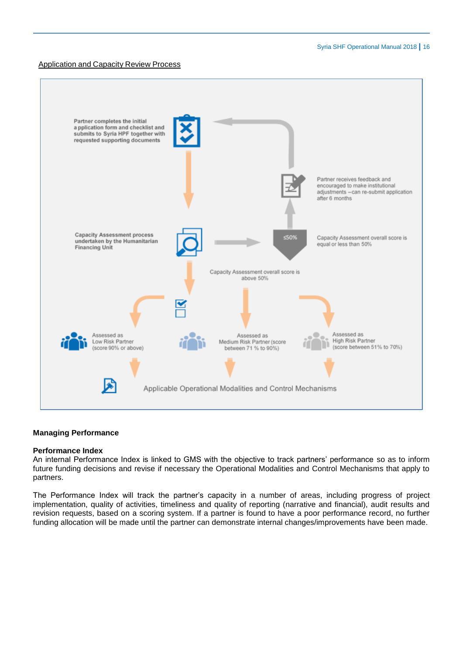#### Application and Capacity Review Process



#### **Managing Performance**

#### **Performance Index**

An internal Performance Index is linked to GMS with the objective to track partners' performance so as to inform future funding decisions and revise if necessary the Operational Modalities and Control Mechanisms that apply to partners.

The Performance Index will track the partner's capacity in a number of areas, including progress of project implementation, quality of activities, timeliness and quality of reporting (narrative and financial), audit results and revision requests, based on a scoring system. If a partner is found to have a poor performance record, no further funding allocation will be made until the partner can demonstrate internal changes/improvements have been made.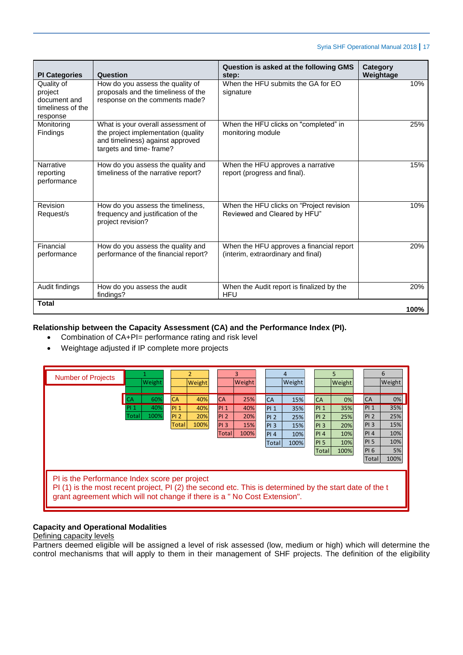| <b>PI Categories</b>                                                   | Question                                                                                                                                  | Question is asked at the following GMS<br>step:                                | <b>Category</b><br>Weightage |
|------------------------------------------------------------------------|-------------------------------------------------------------------------------------------------------------------------------------------|--------------------------------------------------------------------------------|------------------------------|
| Quality of<br>project<br>document and<br>timeliness of the<br>response | How do you assess the quality of<br>proposals and the timeliness of the<br>response on the comments made?                                 | When the HFU submits the GA for EO<br>signature                                | 10%                          |
| Monitoring<br>Findings                                                 | What is your overall assessment of<br>the project implementation (quality<br>and timeliness) against approved<br>targets and time- frame? | When the HFU clicks on "completed" in<br>monitoring module                     | 25%                          |
| <b>Narrative</b><br>reporting<br>performance                           | How do you assess the quality and<br>timeliness of the narrative report?                                                                  | When the HFU approves a narrative<br>report (progress and final).              | 15%                          |
| Revision<br>Request/s                                                  | How do you assess the timeliness,<br>frequency and justification of the<br>project revision?                                              | When the HFU clicks on "Project revision<br>Reviewed and Cleared by HFU"       | 10%                          |
| Financial<br>performance                                               | How do you assess the quality and<br>performance of the financial report?                                                                 | When the HFU approves a financial report<br>(interim, extraordinary and final) | 20%                          |
| Audit findings                                                         | How do you assess the audit<br>findings?                                                                                                  | When the Audit report is finalized by the<br>HFU                               | 20%                          |
| <b>Total</b>                                                           |                                                                                                                                           |                                                                                | 100%                         |

# **Relationship between the Capacity Assessment (CA) and the Performance Index (PI).**

- Combination of CA+PI= performance rating and risk level
- Weightage adjusted if IP complete more projects



# **Capacity and Operational Modalities**

#### Defining capacity levels

Partners deemed eligible will be assigned a level of risk assessed (low, medium or high) which will determine the control mechanisms that will apply to them in their management of SHF projects. The definition of the eligibility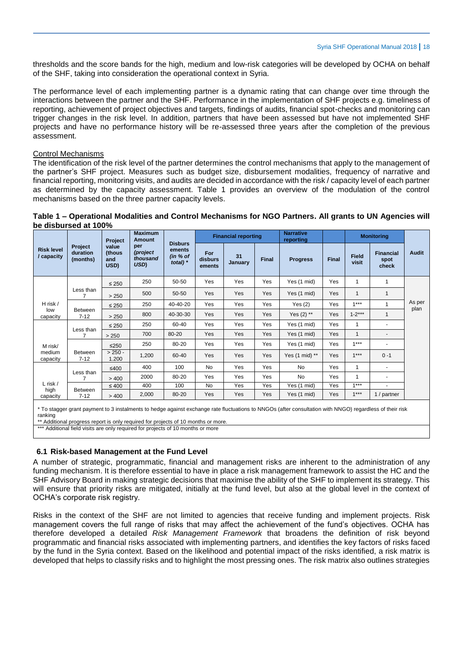thresholds and the score bands for the high, medium and low-risk categories will be developed by OCHA on behalf of the SHF, taking into consideration the operational context in Syria.

The performance level of each implementing partner is a dynamic rating that can change over time through the interactions between the partner and the SHF. Performance in the implementation of SHF projects e.g. timeliness of reporting, achievement of project objectives and targets, findings of audits, financial spot-checks and monitoring can trigger changes in the risk level. In addition, partners that have been assessed but have not implemented SHF projects and have no performance history will be re-assessed three years after the completion of the previous assessment.

#### Control Mechanisms

The identification of the risk level of the partner determines the control mechanisms that apply to the management of the partner's SHF project. Measures such as budget size, disbursement modalities, frequency of narrative and financial reporting, monitoring visits, and audits are decided in accordance with the risk / capacity level of each partner as determined by the capacity assessment. Table 1 provides an overview of the modulation of the control mechanisms based on the three partner capacity levels.

#### **Table 1 – Operational Modalities and Control Mechanisms for NGO Partners. All grants to UN Agencies will be disbursed at 100%**

|                                                                                                                                                                                                                                                                                                                                             |                                        | Project                        | <b>Maximum</b><br><b>Amount</b>     |                                                    |                          | <b>Financial reporting</b> |              | <b>Narrative</b><br>reporting |              |                       | <b>Monitoring</b>                 |                |
|---------------------------------------------------------------------------------------------------------------------------------------------------------------------------------------------------------------------------------------------------------------------------------------------------------------------------------------------|----------------------------------------|--------------------------------|-------------------------------------|----------------------------------------------------|--------------------------|----------------------------|--------------|-------------------------------|--------------|-----------------------|-----------------------------------|----------------|
| <b>Risk level</b><br>/ capacity                                                                                                                                                                                                                                                                                                             | <b>Project</b><br>duration<br>(months) | value<br>(thous<br>and<br>USD) | per<br>(project<br>thousand<br>USD) | <b>Disburs</b><br>ements<br>(in % of<br>total) $*$ | For<br>disburs<br>ements | 31<br>January              | <b>Final</b> | <b>Progress</b>               | <b>Final</b> | <b>Field</b><br>visit | <b>Financial</b><br>spot<br>check | Audit          |
|                                                                                                                                                                                                                                                                                                                                             |                                        | $\leq 250$                     | 250                                 | 50-50                                              | Yes                      | Yes                        | Yes          | Yes (1 mid)                   | Yes          | 1                     | $\mathbf{1}$                      |                |
|                                                                                                                                                                                                                                                                                                                                             | Less than<br>$\overline{7}$            | > 250                          | 500                                 | 50-50                                              | Yes                      | Yes                        | Yes          | Yes (1 mid)                   | Yes          | 1                     | $\mathbf{1}$                      |                |
| H risk /                                                                                                                                                                                                                                                                                                                                    |                                        | $\leq 250$                     | 250                                 | 40-40-20                                           | Yes                      | Yes                        | Yes          | Yes $(2)$                     | Yes          | $1***$                | $\mathbf{1}$                      | As per<br>plan |
| low<br>capacity                                                                                                                                                                                                                                                                                                                             | Between<br>$7 - 12$                    | > 250                          | 800                                 | 40-30-30                                           | Yes                      | Yes                        | Yes          | Yes $(2)$ **                  | Yes          | $1 - 2***$            | $\mathbf{1}$                      |                |
|                                                                                                                                                                                                                                                                                                                                             | Less than<br>$\overline{7}$            | $\leq 250$                     | 250                                 | 60-40                                              | Yes                      | Yes                        | Yes          | Yes (1 mid)                   | Yes          | 1                     |                                   |                |
|                                                                                                                                                                                                                                                                                                                                             |                                        | > 250                          | 700                                 | 80-20                                              | Yes                      | Yes                        | Yes          | Yes (1 mid)                   | Yes          | $\mathbf{1}$          | ٠                                 |                |
| M risk/                                                                                                                                                                                                                                                                                                                                     |                                        | $≤250$                         | 250                                 | 80-20                                              | Yes                      | Yes                        | Yes          | Yes (1 mid)                   | Yes          | $1***$                |                                   |                |
| medium<br>capacity                                                                                                                                                                                                                                                                                                                          | <b>Between</b><br>$7 - 12$             | $> 250 -$<br>1.200             | 1,200                               | 60-40                                              | Yes                      | Yes                        | Yes          | Yes $(1 \text{ mid})$ **      | Yes          | $1***$                | $0 - 1$                           |                |
|                                                                                                                                                                                                                                                                                                                                             |                                        | $≤400$                         | 400                                 | 100                                                | <b>No</b>                | Yes                        | Yes          | No                            | Yes          | 1                     | $\blacksquare$                    |                |
|                                                                                                                                                                                                                                                                                                                                             | Less than<br>7                         | > 400                          | 2000                                | 80-20                                              | Yes                      | Yes                        | Yes          | No                            | Yes          | 1                     | ٠                                 |                |
| $L$ risk /<br>high                                                                                                                                                                                                                                                                                                                          | <b>Between</b>                         | $\leq 400$                     | 400                                 | 100                                                | <b>No</b>                | Yes                        | Yes          | Yes (1 mid)                   | Yes          | $1***$                |                                   |                |
| capacity                                                                                                                                                                                                                                                                                                                                    | $7 - 12$                               | > 400                          | 2,000                               | 80-20                                              | Yes                      | Yes                        | Yes          | Yes (1 mid)                   | Yes          | $1***$                | 1 / partner                       |                |
| * To stagger grant payment to 3 instalments to hedge against exchange rate fluctuations to NNGOs (after consultation with NNGO) regardless of their risk<br>ranking<br>** Additional progress report is only required for projects of 10 months or more.<br>*** Additional field visits are only required for projects of 10 months or more |                                        |                                |                                     |                                                    |                          |                            |              |                               |              |                       |                                   |                |

## **6.1 Risk-based Management at the Fund Level**

A number of strategic, programmatic, financial and management risks are inherent to the administration of any funding mechanism. It is therefore essential to have in place a risk management framework to assist the HC and the SHF Advisory Board in making strategic decisions that maximise the ability of the SHF to implement its strategy. This will ensure that priority risks are mitigated, initially at the fund level, but also at the global level in the context of OCHA's corporate risk registry.

Risks in the context of the SHF are not limited to agencies that receive funding and implement projects. Risk management covers the full range of risks that may affect the achievement of the fund's objectives. OCHA has therefore developed a detailed *Risk Management Framework* that broadens the definition of risk beyond programmatic and financial risks associated with implementing partners, and identifies the key factors of risks faced by the fund in the Syria context. Based on the likelihood and potential impact of the risks identified, a risk matrix is developed that helps to classify risks and to highlight the most pressing ones. The risk matrix also outlines strategies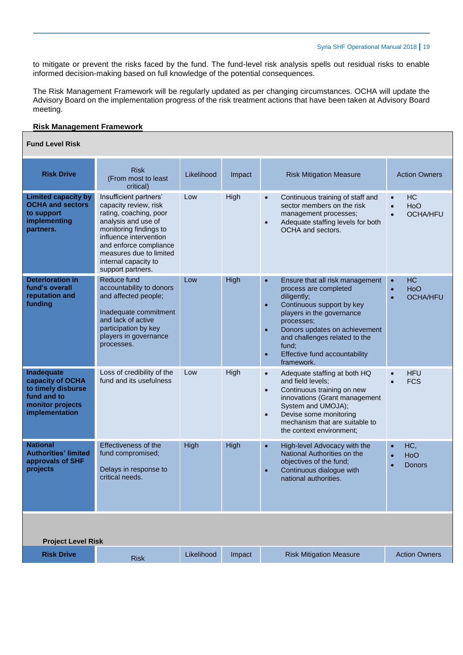to mitigate or prevent the risks faced by the fund. The fund-level risk analysis spells out residual risks to enable informed decision-making based on full knowledge of the potential consequences.

The Risk Management Framework will be regularly updated as per changing circumstances. OCHA will update the Advisory Board on the implementation progress of the risk treatment actions that have been taken at Advisory Board meeting.

#### **Risk Management Framework**

#### **Fund Level Risk**

| <b>Risk Drive</b>                                                                                                | <b>Risk</b><br>(From most to least<br>critical)                                                                                                                                                                                                        | Likelihood | Impact | <b>Risk Mitigation Measure</b>                                                                                                                                                                                                                                                                                                | <b>Action Owners</b>                                                       |  |  |  |
|------------------------------------------------------------------------------------------------------------------|--------------------------------------------------------------------------------------------------------------------------------------------------------------------------------------------------------------------------------------------------------|------------|--------|-------------------------------------------------------------------------------------------------------------------------------------------------------------------------------------------------------------------------------------------------------------------------------------------------------------------------------|----------------------------------------------------------------------------|--|--|--|
| <b>Limited capacity by</b><br><b>OCHA and sectors</b><br>to support<br>implementing<br>partners.                 | Insufficient partners'<br>capacity review, risk<br>rating, coaching, poor<br>analysis and use of<br>monitoring findings to<br>influence intervention<br>and enforce compliance<br>measures due to limited<br>internal capacity to<br>support partners. | Low        | High   | Continuous training of staff and<br>$\bullet$<br>sector members on the risk<br>management processes;<br>Adequate staffing levels for both<br>$\bullet$<br>OCHA and sectors.                                                                                                                                                   | <b>HC</b><br>$\bullet$<br>HoO<br>$\bullet$<br><b>OCHA/HFU</b><br>$\bullet$ |  |  |  |
| <b>Deterioration in</b><br>fund's overall<br>reputation and<br>funding                                           | Reduce fund<br>accountability to donors<br>and affected people;<br>Inadequate commitment<br>and lack of active<br>participation by key<br>players in governance<br>processes.                                                                          | Low        | High   | Ensure that all risk management<br>$\bullet$<br>process are completed<br>diligently;<br>Continuous support by key<br>$\bullet$<br>players in the governance<br>processes;<br>Donors updates on achievement<br>$\bullet$<br>and challenges related to the<br>fund;<br>Effective fund accountability<br>$\bullet$<br>framework. | <b>HC</b><br>$\bullet$<br>HoO<br>$\bullet$<br><b>OCHA/HFU</b><br>$\bullet$ |  |  |  |
| <b>Inadequate</b><br>capacity of OCHA<br>to timely disburse<br>fund and to<br>monitor projects<br>implementation | Loss of credibility of the<br>fund and its usefulness                                                                                                                                                                                                  | Low        | High   | Adequate staffing at both HQ<br>$\bullet$<br>and field levels;<br>Continuous training on new<br>$\bullet$<br>innovations (Grant management<br>System and UMOJA);<br>Devise some monitoring<br>$\bullet$<br>mechanism that are suitable to<br>the context environment;                                                         | <b>HFU</b><br>$\bullet$<br><b>FCS</b>                                      |  |  |  |
| <b>National</b><br><b>Authorities' limited</b><br>approvals of SHF<br>projects                                   | Effectiveness of the<br>fund compromised;<br>Delays in response to<br>critical needs.                                                                                                                                                                  | High       | High   | $\bullet$<br>High-level Advocacy with the<br>National Authorities on the<br>objectives of the fund;<br>Continuous dialogue with<br>$\bullet$<br>national authorities.                                                                                                                                                         | HC,<br>$\bullet$<br>HoO<br>$\bullet$<br><b>Donors</b>                      |  |  |  |
| <b>Project Level Risk</b>                                                                                        |                                                                                                                                                                                                                                                        |            |        |                                                                                                                                                                                                                                                                                                                               |                                                                            |  |  |  |
| <b>Risk Drive</b>                                                                                                | <b>Risk</b>                                                                                                                                                                                                                                            | Likelihood | Impact | <b>Risk Mitigation Measure</b>                                                                                                                                                                                                                                                                                                | <b>Action Owners</b>                                                       |  |  |  |
|                                                                                                                  |                                                                                                                                                                                                                                                        |            |        |                                                                                                                                                                                                                                                                                                                               |                                                                            |  |  |  |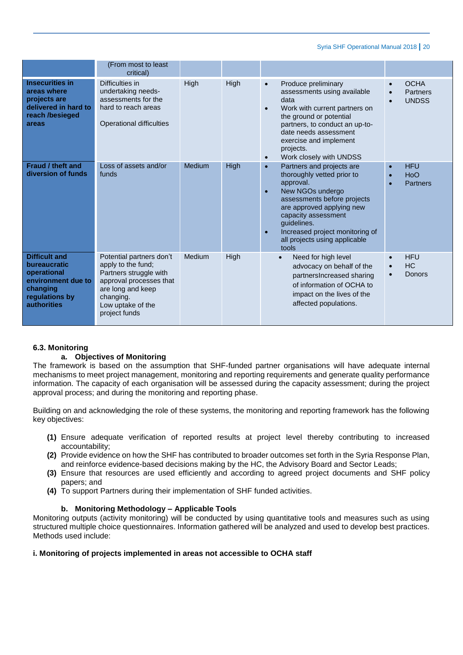|                                                                                                                        | (From most to least<br>critical)                                                                                                                                            |               |      |                                                                                                                                                                                                                                                                                                                |                                                      |
|------------------------------------------------------------------------------------------------------------------------|-----------------------------------------------------------------------------------------------------------------------------------------------------------------------------|---------------|------|----------------------------------------------------------------------------------------------------------------------------------------------------------------------------------------------------------------------------------------------------------------------------------------------------------------|------------------------------------------------------|
| <b>Insecurities in</b><br>areas where<br>projects are<br>delivered in hard to<br>reach /besieged<br>areas              | Difficulties in<br>undertaking needs-<br>assessments for the<br>hard to reach areas<br>Operational difficulties                                                             | High          | High | Produce preliminary<br>$\bullet$<br>assessments using available<br>data<br>Work with current partners on<br>$\bullet$<br>the ground or potential<br>partners, to conduct an up-to-<br>date needs assessment<br>exercise and implement<br>projects.<br>Work closely with UNDSS<br>$\bullet$                     | <b>OCHA</b><br>$\bullet$<br>Partners<br><b>UNDSS</b> |
| Fraud / theft and<br>diversion of funds                                                                                | Loss of assets and/or<br>funds                                                                                                                                              | <b>Medium</b> | High | Partners and projects are<br>$\bullet$<br>thoroughly vetted prior to<br>approval.<br>New NGOs undergo<br>$\bullet$<br>assessments before projects<br>are approved applying new<br>capacity assessment<br>quidelines.<br>Increased project monitoring of<br>$\bullet$<br>all projects using applicable<br>tools | <b>HFU</b><br>$\bullet$<br>HoO<br>Partners           |
| <b>Difficult and</b><br>bureaucratic<br>operational<br>environment due to<br>changing<br>regulations by<br>authorities | Potential partners don't<br>apply to the fund;<br>Partners struggle with<br>approval processes that<br>are long and keep<br>changing.<br>Low uptake of the<br>project funds | Medium        | High | Need for high level<br>$\bullet$<br>advocacy on behalf of the<br>partnersIncreased sharing<br>of information of OCHA to<br>impact on the lives of the<br>affected populations.                                                                                                                                 | <b>HFU</b><br>$\bullet$<br><b>HC</b><br>Donors       |

# **6.3. Monitoring**

# **a. Objectives of Monitoring**

The framework is based on the assumption that SHF-funded partner organisations will have adequate internal mechanisms to meet project management, monitoring and reporting requirements and generate quality performance information. The capacity of each organisation will be assessed during the capacity assessment; during the project approval process; and during the monitoring and reporting phase.

Building on and acknowledging the role of these systems, the monitoring and reporting framework has the following key objectives:

- **(1)** Ensure adequate verification of reported results at project level thereby contributing to increased accountability;
- **(2)** Provide evidence on how the SHF has contributed to broader outcomes set forth in the Syria Response Plan, and reinforce evidence-based decisions making by the HC, the Advisory Board and Sector Leads;
- **(3)** Ensure that resources are used efficiently and according to agreed project documents and SHF policy papers; and
- **(4)** To support Partners during their implementation of SHF funded activities.

## **b. Monitoring Methodology – Applicable Tools**

Monitoring outputs (activity monitoring) will be conducted by using quantitative tools and measures such as using structured multiple choice questionnaires. Information gathered will be analyzed and used to develop best practices. Methods used include:

## **i. Monitoring of projects implemented in areas not accessible to OCHA staff**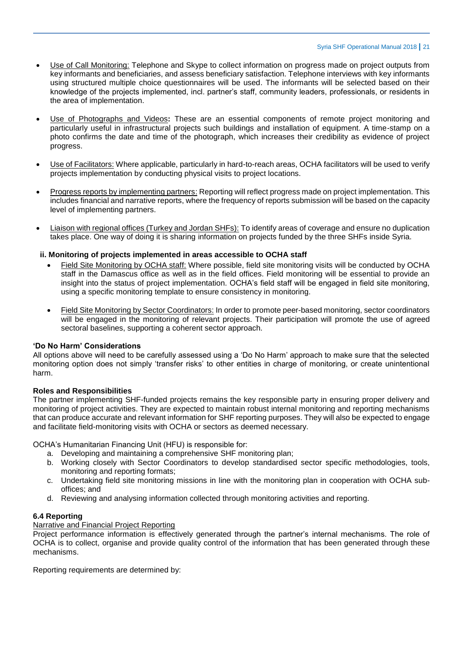- Use of Call Monitoring: Telephone and Skype to collect information on progress made on project outputs from key informants and beneficiaries, and assess beneficiary satisfaction. Telephone interviews with key informants using structured multiple choice questionnaires will be used. The informants will be selected based on their knowledge of the projects implemented, incl. partner's staff, community leaders, professionals, or residents in the area of implementation.
- Use of Photographs and Videos**:** These are an essential components of remote project monitoring and particularly useful in infrastructural projects such buildings and installation of equipment. A time-stamp on a photo confirms the date and time of the photograph, which increases their credibility as evidence of project progress.
- Use of Facilitators: Where applicable, particularly in hard-to-reach areas, OCHA facilitators will be used to verify projects implementation by conducting physical visits to project locations.
- Progress reports by implementing partners: Reporting will reflect progress made on project implementation. This includes financial and narrative reports, where the frequency of reports submission will be based on the capacity level of implementing partners.
- Liaison with regional offices (Turkey and Jordan SHFs): To identify areas of coverage and ensure no duplication takes place. One way of doing it is sharing information on projects funded by the three SHFs inside Syria.

#### **ii. Monitoring of projects implemented in areas accessible to OCHA staff**

- Field Site Monitoring by OCHA staff: Where possible, field site monitoring visits will be conducted by OCHA staff in the Damascus office as well as in the field offices. Field monitoring will be essential to provide an insight into the status of project implementation. OCHA's field staff will be engaged in field site monitoring, using a specific monitoring template to ensure consistency in monitoring.
- Field Site Monitoring by Sector Coordinators: In order to promote peer-based monitoring, sector coordinators will be engaged in the monitoring of relevant projects. Their participation will promote the use of agreed sectoral baselines, supporting a coherent sector approach.

#### **'Do No Harm' Considerations**

All options above will need to be carefully assessed using a 'Do No Harm' approach to make sure that the selected monitoring option does not simply 'transfer risks' to other entities in charge of monitoring, or create unintentional harm.

#### **Roles and Responsibilities**

The partner implementing SHF-funded projects remains the key responsible party in ensuring proper delivery and monitoring of project activities. They are expected to maintain robust internal monitoring and reporting mechanisms that can produce accurate and relevant information for SHF reporting purposes. They will also be expected to engage and facilitate field-monitoring visits with OCHA or sectors as deemed necessary.

OCHA's Humanitarian Financing Unit (HFU) is responsible for:

- a. Developing and maintaining a comprehensive SHF monitoring plan;
- b. Working closely with Sector Coordinators to develop standardised sector specific methodologies, tools, monitoring and reporting formats;
- c. Undertaking field site monitoring missions in line with the monitoring plan in cooperation with OCHA suboffices; and
- d. Reviewing and analysing information collected through monitoring activities and reporting.

## **6.4 Reporting**

#### Narrative and Financial Project Reporting

Project performance information is effectively generated through the partner's internal mechanisms. The role of OCHA is to collect, organise and provide quality control of the information that has been generated through these mechanisms.

Reporting requirements are determined by: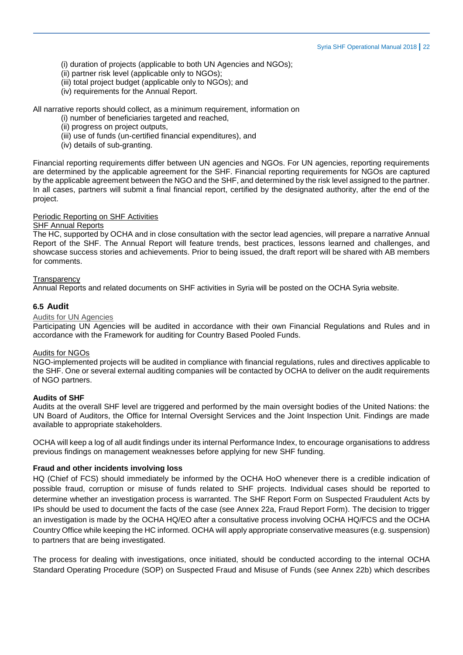(i) duration of projects (applicable to both UN Agencies and NGOs);

- (ii) partner risk level (applicable only to NGOs);
- (iii) total project budget (applicable only to NGOs); and
- (iv) requirements for the Annual Report.

All narrative reports should collect, as a minimum requirement, information on

- (i) number of beneficiaries targeted and reached,
- (ii) progress on project outputs,
- (iii) use of funds (un-certified financial expenditures), and
- (iv) details of sub-granting.

Financial reporting requirements differ between UN agencies and NGOs. For UN agencies, reporting requirements are determined by the applicable agreement for the SHF. Financial reporting requirements for NGOs are captured by the applicable agreement between the NGO and the SHF, and determined by the risk level assigned to the partner. In all cases, partners will submit a final financial report, certified by the designated authority, after the end of the project.

# Periodic Reporting on SHF Activities

#### SHF Annual Reports

The HC, supported by OCHA and in close consultation with the sector lead agencies, will prepare a narrative Annual Report of the SHF. The Annual Report will feature trends, best practices, lessons learned and challenges, and showcase success stories and achievements. Prior to being issued, the draft report will be shared with AB members for comments.

#### **Transparency**

Annual Reports and related documents on SHF activities in Syria will be posted on the OCHA Syria website.

## **6.5 Audit**

#### Audits for UN Agencies

Participating UN Agencies will be audited in accordance with their own Financial Regulations and Rules and in accordance with the Framework for auditing for Country Based Pooled Funds.

#### Audits for NGOs

NGO-implemented projects will be audited in compliance with financial regulations, rules and directives applicable to the SHF. One or several external auditing companies will be contacted by OCHA to deliver on the audit requirements of NGO partners.

#### **Audits of SHF**

Audits at the overall SHF level are triggered and performed by the main oversight bodies of the United Nations: the UN Board of Auditors, the Office for Internal Oversight Services and the Joint Inspection Unit. Findings are made available to appropriate stakeholders.

OCHA will keep a log of all audit findings under its internal Performance Index, to encourage organisations to address previous findings on management weaknesses before applying for new SHF funding.

#### **Fraud and other incidents involving loss**

HQ (Chief of FCS) should immediately be informed by the OCHA HoO whenever there is a credible indication of possible fraud, corruption or misuse of funds related to SHF projects. Individual cases should be reported to determine whether an investigation process is warranted. The SHF Report Form on Suspected Fraudulent Acts by IPs should be used to document the facts of the case (see Annex 22a, Fraud Report Form). The decision to trigger an investigation is made by the OCHA HQ/EO after a consultative process involving OCHA HQ/FCS and the OCHA Country Office while keeping the HC informed. OCHA will apply appropriate conservative measures (e.g. suspension) to partners that are being investigated.

The process for dealing with investigations, once initiated, should be conducted according to the internal OCHA Standard Operating Procedure (SOP) on Suspected Fraud and Misuse of Funds (see Annex 22b) which describes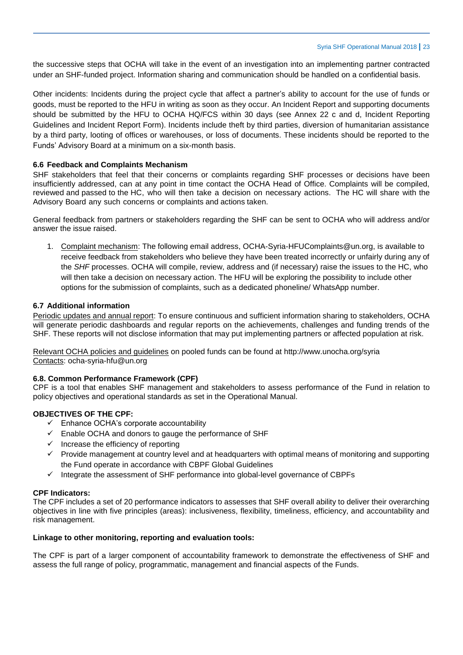the successive steps that OCHA will take in the event of an investigation into an implementing partner contracted under an SHF-funded project. Information sharing and communication should be handled on a confidential basis.

Other incidents: Incidents during the project cycle that affect a partner's ability to account for the use of funds or goods, must be reported to the HFU in writing as soon as they occur. An Incident Report and supporting documents should be submitted by the HFU to OCHA HQ/FCS within 30 days (see Annex 22 c and d, Incident Reporting Guidelines and Incident Report Form). Incidents include theft by third parties, diversion of humanitarian assistance by a third party, looting of offices or warehouses, or loss of documents. These incidents should be reported to the Funds' Advisory Board at a minimum on a six-month basis.

## **6.6 Feedback and Complaints Mechanism**

SHF stakeholders that feel that their concerns or complaints regarding SHF processes or decisions have been insufficiently addressed, can at any point in time contact the OCHA Head of Office. Complaints will be compiled, reviewed and passed to the HC, who will then take a decision on necessary actions. The HC will share with the Advisory Board any such concerns or complaints and actions taken.

General feedback from partners or stakeholders regarding the SHF can be sent to OCHA who will address and/or answer the issue raised.

1. Complaint mechanism: The following email address, OCHA-Syria-HFUComplaints@un.org, is available to receive feedback from stakeholders who believe they have been treated incorrectly or unfairly during any of the *SHF* processes. OCHA will compile, review, address and (if necessary) raise the issues to the HC, who will then take a decision on necessary action. The HFU will be exploring the possibility to include other options for the submission of complaints, such as a dedicated phoneline/ WhatsApp number.

## **6.7 Additional information**

Periodic updates and annual report: To ensure continuous and sufficient information sharing to stakeholders, OCHA will generate periodic dashboards and regular reports on the achievements, challenges and funding trends of the SHF. These reports will not disclose information that may put implementing partners or affected population at risk.

Relevant OCHA policies and guidelines on pooled funds can be found at http://www.unocha.org/syria Contacts: [ocha-syria-hfu@un.org](mailto:ocha-syria-hfu@un.org)

## **6.8. Common Performance Framework (CPF)**

CPF is a tool that enables SHF management and stakeholders to assess performance of the Fund in relation to policy objectives and operational standards as set in the Operational Manual.

## **OBJECTIVES OF THE CPF:**

- $\checkmark$  Enhance OCHA's corporate accountability
- $\checkmark$  Enable OCHA and donors to gauge the performance of SHF
- $\checkmark$  Increase the efficiency of reporting
- $\checkmark$  Provide management at country level and at headquarters with optimal means of monitoring and supporting the Fund operate in accordance with CBPF Global Guidelines
- $\checkmark$  Integrate the assessment of SHF performance into global-level governance of CBPFs

## **CPF Indicators:**

The CPF includes a set of 20 performance indicators to assesses that SHF overall ability to deliver their overarching objectives in line with five principles (areas): inclusiveness, flexibility, timeliness, efficiency, and accountability and risk management.

## **Linkage to other monitoring, reporting and evaluation tools:**

The CPF is part of a larger component of accountability framework to demonstrate the effectiveness of SHF and assess the full range of policy, programmatic, management and financial aspects of the Funds.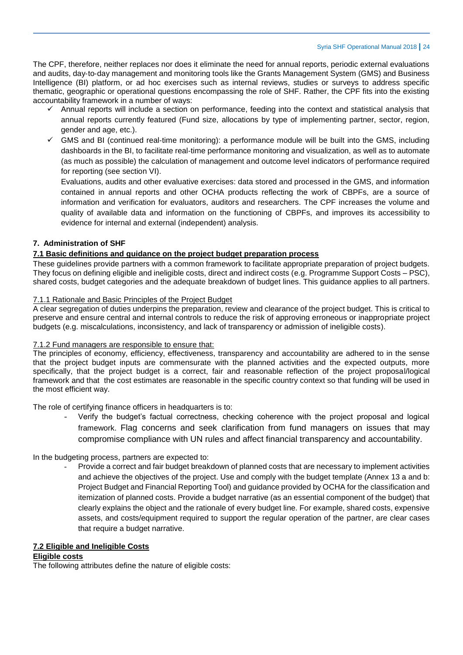The CPF, therefore, neither replaces nor does it eliminate the need for annual reports, periodic external evaluations and audits, day‐to‐day management and monitoring tools like the Grants Management System (GMS) and Business Intelligence (BI) platform, or ad hoc exercises such as internal reviews, studies or surveys to address specific thematic, geographic or operational questions encompassing the role of SHF. Rather, the CPF fits into the existing accountability framework in a number of ways:

- $\checkmark$  Annual reports will include a section on performance, feeding into the context and statistical analysis that annual reports currently featured (Fund size, allocations by type of implementing partner, sector, region, gender and age, etc.).
- $\checkmark$  GMS and BI (continued real-time monitoring): a performance module will be built into the GMS, including dashboards in the BI, to facilitate real‐time performance monitoring and visualization, as well as to automate (as much as possible) the calculation of management and outcome level indicators of performance required for reporting (see section VI).

Evaluations, audits and other evaluative exercises: data stored and processed in the GMS, and information contained in annual reports and other OCHA products reflecting the work of CBPFs, are a source of information and verification for evaluators, auditors and researchers. The CPF increases the volume and quality of available data and information on the functioning of CBPFs, and improves its accessibility to evidence for internal and external (independent) analysis.

# **7. Administration of SHF**

## **7.1 Basic definitions and guidance on the project budget preparation process**

These guidelines provide partners with a common framework to facilitate appropriate preparation of project budgets. They focus on defining eligible and ineligible costs, direct and indirect costs (e.g. Programme Support Costs – PSC), shared costs, budget categories and the adequate breakdown of budget lines. This guidance applies to all partners.

## 7.1.1 Rationale and Basic Principles of the Project Budget

A clear segregation of duties underpins the preparation, review and clearance of the project budget. This is critical to preserve and ensure central and internal controls to reduce the risk of approving erroneous or inappropriate project budgets (e.g. miscalculations, inconsistency, and lack of transparency or admission of ineligible costs).

## 7.1.2 Fund managers are responsible to ensure that:

The principles of economy, efficiency, effectiveness, transparency and accountability are adhered to in the sense that the project budget inputs are commensurate with the planned activities and the expected outputs, more specifically, that the project budget is a correct, fair and reasonable reflection of the project proposal/logical framework and that the cost estimates are reasonable in the specific country context so that funding will be used in the most efficient way.

The role of certifying finance officers in headquarters is to:

Verify the budget's factual correctness, checking coherence with the project proposal and logical framework. Flag concerns and seek clarification from fund managers on issues that may compromise compliance with UN rules and affect financial transparency and accountability.

## In the budgeting process, partners are expected to:

Provide a correct and fair budget breakdown of planned costs that are necessary to implement activities and achieve the objectives of the project. Use and comply with the budget template (Annex 13 a and b: Project Budget and Financial Reporting Tool) and guidance provided by OCHA for the classification and itemization of planned costs. Provide a budget narrative (as an essential component of the budget) that clearly explains the object and the rationale of every budget line. For example, shared costs, expensive assets, and costs/equipment required to support the regular operation of the partner, are clear cases that require a budget narrative.

## **7.2 Eligible and Ineligible Costs**

#### **Eligible costs**

The following attributes define the nature of eligible costs: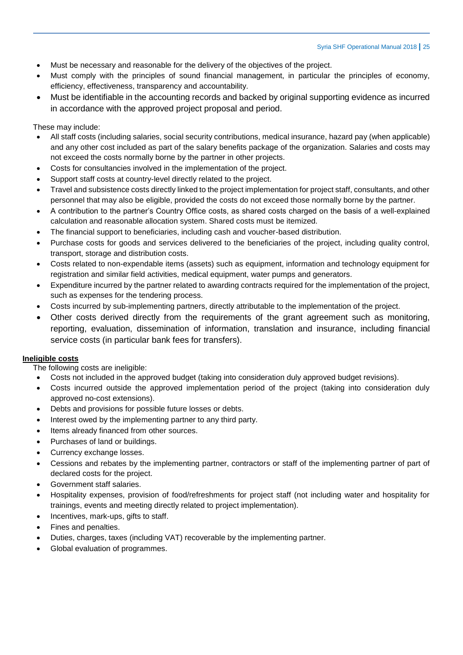- Must be necessary and reasonable for the delivery of the objectives of the project.
- Must comply with the principles of sound financial management, in particular the principles of economy, efficiency, effectiveness, transparency and accountability.
- Must be identifiable in the accounting records and backed by original supporting evidence as incurred in accordance with the approved project proposal and period.

These may include:

- All staff costs (including salaries, social security contributions, medical insurance, hazard pay (when applicable) and any other cost included as part of the salary benefits package of the organization. Salaries and costs may not exceed the costs normally borne by the partner in other projects.
- Costs for consultancies involved in the implementation of the project.
- Support staff costs at country-level directly related to the project.
- Travel and subsistence costs directly linked to the project implementation for project staff, consultants, and other personnel that may also be eligible, provided the costs do not exceed those normally borne by the partner.
- A contribution to the partner's Country Office costs, as shared costs charged on the basis of a well-explained calculation and reasonable allocation system. Shared costs must be itemized.
- The financial support to beneficiaries, including cash and voucher-based distribution.
- Purchase costs for goods and services delivered to the beneficiaries of the project, including quality control, transport, storage and distribution costs.
- Costs related to non-expendable items (assets) such as equipment, information and technology equipment for registration and similar field activities, medical equipment, water pumps and generators.
- Expenditure incurred by the partner related to awarding contracts required for the implementation of the project, such as expenses for the tendering process.
- Costs incurred by sub-implementing partners, directly attributable to the implementation of the project.
- Other costs derived directly from the requirements of the grant agreement such as monitoring, reporting, evaluation, dissemination of information, translation and insurance, including financial service costs (in particular bank fees for transfers).

# **Ineligible costs**

The following costs are ineligible:

- Costs not included in the approved budget (taking into consideration duly approved budget revisions).
- Costs incurred outside the approved implementation period of the project (taking into consideration duly approved no-cost extensions).
- Debts and provisions for possible future losses or debts.
- Interest owed by the implementing partner to any third party.
- Items already financed from other sources.
- Purchases of land or buildings.
- Currency exchange losses.
- Cessions and rebates by the implementing partner, contractors or staff of the implementing partner of part of declared costs for the project.
- Government staff salaries.
- Hospitality expenses, provision of food/refreshments for project staff (not including water and hospitality for trainings, events and meeting directly related to project implementation).
- Incentives, mark-ups, gifts to staff.
- Fines and penalties.
- Duties, charges, taxes (including VAT) recoverable by the implementing partner.
- Global evaluation of programmes.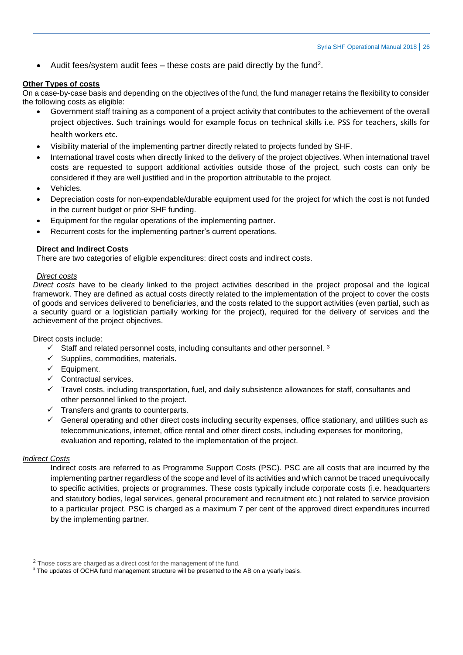• Audit fees/system audit fees  $-$  these costs are paid directly by the fund<sup>2</sup>.

## **Other Types of costs**

On a case-by-case basis and depending on the objectives of the fund, the fund manager retains the flexibility to consider the following costs as eligible:

- Government staff training as a component of a project activity that contributes to the achievement of the overall project objectives. Such trainings would for example focus on technical skills i.e. PSS for teachers, skills for health workers etc.
- Visibility material of the implementing partner directly related to projects funded by SHF.
- International travel costs when directly linked to the delivery of the project objectives. When international travel costs are requested to support additional activities outside those of the project, such costs can only be considered if they are well justified and in the proportion attributable to the project.
- Vehicles.
- Depreciation costs for non-expendable/durable equipment used for the project for which the cost is not funded in the current budget or prior SHF funding.
- Equipment for the regular operations of the implementing partner.
- Recurrent costs for the implementing partner's current operations.

## **Direct and Indirect Costs**

There are two categories of eligible expenditures: direct costs and indirect costs.

#### *Direct costs*

*Direct costs* have to be clearly linked to the project activities described in the project proposal and the logical framework. They are defined as actual costs directly related to the implementation of the project to cover the costs of goods and services delivered to beneficiaries, and the costs related to the support activities (even partial, such as a security guard or a logistician partially working for the project), required for the delivery of services and the achievement of the project objectives.

Direct costs include:

- $\checkmark$  Staff and related personnel costs, including consultants and other personnel. 3
- $\checkmark$  Supplies, commodities, materials.
- $\checkmark$  Equipment.
- $\checkmark$  Contractual services.
- $\checkmark$  Travel costs, including transportation, fuel, and daily subsistence allowances for staff, consultants and other personnel linked to the project.
- $\checkmark$  Transfers and grants to counterparts.
- $\checkmark$  General operating and other direct costs including security expenses, office stationary, and utilities such as telecommunications, internet, office rental and other direct costs, including expenses for monitoring, evaluation and reporting, related to the implementation of the project.

## *Indirect Costs*

 $\overline{a}$ 

Indirect costs are referred to as Programme Support Costs (PSC). PSC are all costs that are incurred by the implementing partner regardless of the scope and level of its activities and which cannot be traced unequivocally to specific activities, projects or programmes. These costs typically include corporate costs (i.e. headquarters and statutory bodies, legal services, general procurement and recruitment etc.) not related to service provision to a particular project. PSC is charged as a maximum 7 per cent of the approved direct expenditures incurred by the implementing partner.

 $2$  Those costs are charged as a direct cost for the management of the fund.

<sup>&</sup>lt;sup>3</sup> The updates of OCHA fund management structure will be presented to the AB on a yearly basis.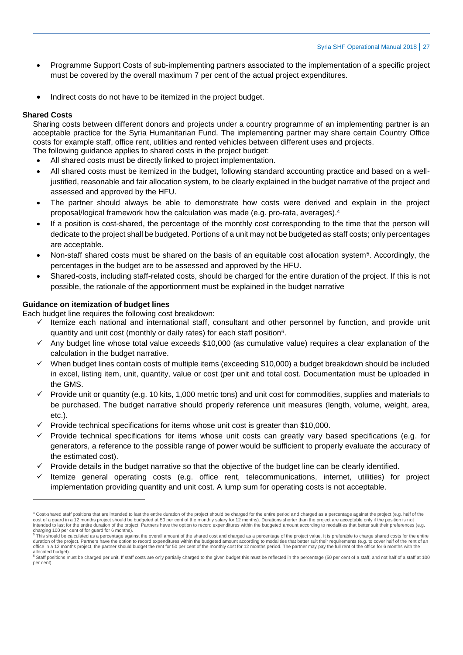- Programme Support Costs of sub-implementing partners associated to the implementation of a specific project must be covered by the overall maximum 7 per cent of the actual project expenditures.
- Indirect costs do not have to be itemized in the project budget.

## **Shared Costs**

 $\overline{a}$ 

Sharing costs between different donors and projects under a country programme of an implementing partner is an acceptable practice for the Syria Humanitarian Fund. The implementing partner may share certain Country Office costs for example staff, office rent, utilities and rented vehicles between different uses and projects. The following guidance applies to shared costs in the project budget:

- All shared costs must be directly linked to project implementation.
- All shared costs must be itemized in the budget, following standard accounting practice and based on a welljustified, reasonable and fair allocation system, to be clearly explained in the budget narrative of the project and assessed and approved by the HFU.
- The partner should always be able to demonstrate how costs were derived and explain in the project proposal/logical framework how the calculation was made (e.g. pro-rata, averages).<sup>4</sup>
- If a position is cost-shared, the percentage of the monthly cost corresponding to the time that the person will dedicate to the project shall be budgeted. Portions of a unit may not be budgeted as staff costs; only percentages are acceptable.
- Non-staff shared costs must be shared on the basis of an equitable cost allocation system<sup>5</sup>. Accordingly, the percentages in the budget are to be assessed and approved by the HFU.
- Shared-costs, including staff-related costs, should be charged for the entire duration of the project. If this is not possible, the rationale of the apportionment must be explained in the budget narrative

#### **Guidance on itemization of budget lines**

Each budget line requires the following cost breakdown:

- Itemize each national and international staff, consultant and other personnel by function, and provide unit quantity and unit cost (monthly or daily rates) for each staff position<sup>6</sup>.
- $\checkmark$  Any budget line whose total value exceeds \$10,000 (as cumulative value) requires a clear explanation of the calculation in the budget narrative.
- $\checkmark$  When budget lines contain costs of multiple items (exceeding \$10,000) a budget breakdown should be included in excel, listing item, unit, quantity, value or cost (per unit and total cost. Documentation must be uploaded in the GMS.
- Provide unit or quantity (e.g. 10 kits, 1,000 metric tons) and unit cost for commodities, supplies and materials to be purchased. The budget narrative should properly reference unit measures (length, volume, weight, area, etc.).
- $\checkmark$  Provide technical specifications for items whose unit cost is greater than \$10,000.
- $\checkmark$  Provide technical specifications for items whose unit costs can greatly vary based specifications (e.g. for generators, a reference to the possible range of power would be sufficient to properly evaluate the accuracy of the estimated cost).
- Provide details in the budget narrative so that the objective of the budget line can be clearly identified.
- Itemize general operating costs (e.g. office rent, telecommunications, internet, utilities) for project implementation providing quantity and unit cost. A lump sum for operating costs is not acceptable.

<sup>&</sup>lt;sup>4</sup> Cost-shared staff positions that are intended to last the entire duration of the project should be charged for the entire period and charged as a percentage against the project (e.g. half of the cost of a guard in a 12 months project should be budgeted at 50 per cent of the monthly salary for 12 months). Durations shorter than the project are acceptable only if the position is not intended to last for the entire duration of the project. Partners have the option to record expenditures within the budgeted amount according to modalities that better suit their preferences (e.g.

charging 100 per cent of for guard for 6 months).<br><sup>5</sup> This should be calculated as a percentage against the overall amount of the shared cost and charged as a percentage of the project value. It is preferable to charge sha office in a 12 months project, the partner should budget the rent for 50 per cent of the monthly cost for 12 months period. The partner may pay the full rent of the office for 6 months with the

allocated budget).<br><sup>6</sup> Staff positions must be charged per unit. If staff costs are only partially charged to the given budget this must be reflected in the percentage (50 per cent of a staff, and not half of a staff at 10 per cent).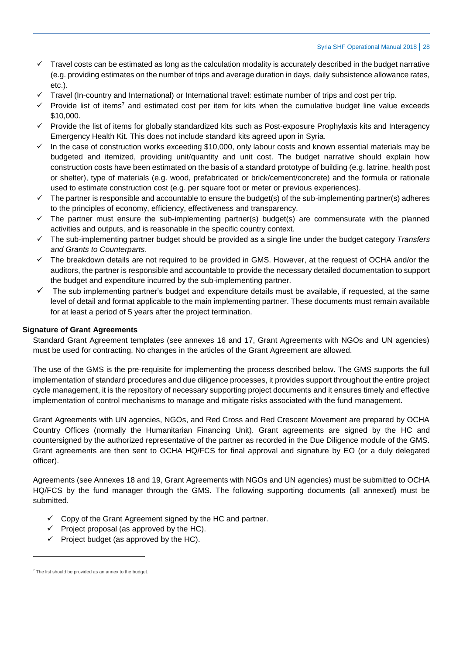- $\checkmark$  Travel costs can be estimated as long as the calculation modality is accurately described in the budget narrative (e.g. providing estimates on the number of trips and average duration in days, daily subsistence allowance rates, etc.).
- Travel (In-country and International) or International travel: estimate number of trips and cost per trip.
- $\checkmark$  Provide list of items<sup>7</sup> and estimated cost per item for kits when the cumulative budget line value exceeds \$10,000.
- $\checkmark$  Provide the list of items for globally standardized kits such as Post-exposure Prophylaxis kits and Interagency Emergency Health Kit. This does not include standard kits agreed upon in Syria.
- In the case of construction works exceeding \$10,000, only labour costs and known essential materials may be budgeted and itemized, providing unit/quantity and unit cost. The budget narrative should explain how construction costs have been estimated on the basis of a standard prototype of building (e.g. latrine, health post or shelter), type of materials (e.g. wood, prefabricated or brick/cement/concrete) and the formula or rationale used to estimate construction cost (e.g. per square foot or meter or previous experiences).
- $\checkmark$  The partner is responsible and accountable to ensure the budget(s) of the sub-implementing partner(s) adheres to the principles of economy, efficiency, effectiveness and transparency.
- $\checkmark$  The partner must ensure the sub-implementing partner(s) budget(s) are commensurate with the planned activities and outputs, and is reasonable in the specific country context.
- The sub-implementing partner budget should be provided as a single line under the budget category *Transfers and Grants to Counterparts*.
- $\checkmark$  The breakdown details are not required to be provided in GMS. However, at the request of OCHA and/or the auditors, the partner is responsible and accountable to provide the necessary detailed documentation to support the budget and expenditure incurred by the sub-implementing partner.
- $\checkmark$  The sub implementing partner's budget and expenditure details must be available, if requested, at the same level of detail and format applicable to the main implementing partner. These documents must remain available for at least a period of 5 years after the project termination.

## **Signature of Grant Agreements**

Standard Grant Agreement templates (see annexes 16 and 17, Grant Agreements with NGOs and UN agencies) must be used for contracting. No changes in the articles of the Grant Agreement are allowed.

The use of the GMS is the pre-requisite for implementing the process described below. The GMS supports the full implementation of standard procedures and due diligence processes, it provides support throughout the entire project cycle management, it is the repository of necessary supporting project documents and it ensures timely and effective implementation of control mechanisms to manage and mitigate risks associated with the fund management.

Grant Agreements with UN agencies, NGOs, and Red Cross and Red Crescent Movement are prepared by OCHA Country Offices (normally the Humanitarian Financing Unit). Grant agreements are signed by the HC and countersigned by the authorized representative of the partner as recorded in the Due Diligence module of the GMS. Grant agreements are then sent to OCHA HQ/FCS for final approval and signature by EO (or a duly delegated officer).

Agreements (see Annexes 18 and 19, Grant Agreements with NGOs and UN agencies) must be submitted to OCHA HQ/FCS by the fund manager through the GMS. The following supporting documents (all annexed) must be submitted.

- $\checkmark$  Copy of the Grant Agreement signed by the HC and partner.
- $\checkmark$  Project proposal (as approved by the HC).
- $\checkmark$  Project budget (as approved by the HC).

 $\overline{a}$ 

 $7$  The list should be provided as an annex to the budget.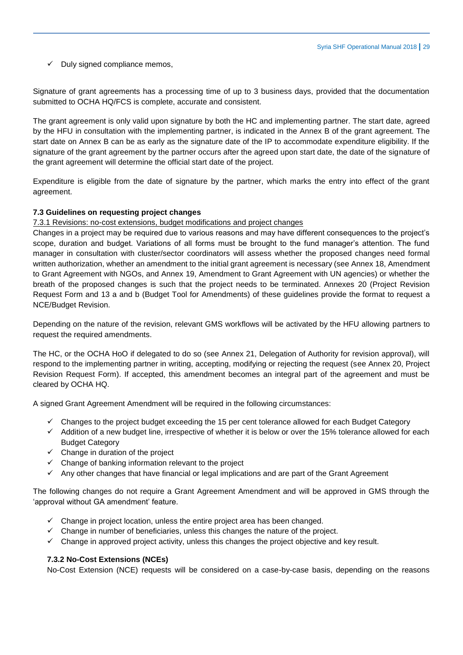$\checkmark$  Duly signed compliance memos.

Signature of grant agreements has a processing time of up to 3 business days, provided that the documentation submitted to OCHA HQ/FCS is complete, accurate and consistent.

The grant agreement is only valid upon signature by both the HC and implementing partner. The start date, agreed by the HFU in consultation with the implementing partner, is indicated in the Annex B of the grant agreement. The start date on Annex B can be as early as the signature date of the IP to accommodate expenditure eligibility. If the signature of the grant agreement by the partner occurs after the agreed upon start date, the date of the signature of the grant agreement will determine the official start date of the project.

Expenditure is eligible from the date of signature by the partner, which marks the entry into effect of the grant agreement.

#### **7.3 Guidelines on requesting project changes**

#### 7.3.1 Revisions: no-cost extensions, budget modifications and project changes

Changes in a project may be required due to various reasons and may have different consequences to the project's scope, duration and budget. Variations of all forms must be brought to the fund manager's attention. The fund manager in consultation with cluster/sector coordinators will assess whether the proposed changes need formal written authorization, whether an amendment to the initial grant agreement is necessary (see Annex 18, Amendment to Grant Agreement with NGOs, and Annex 19, Amendment to Grant Agreement with UN agencies) or whether the breath of the proposed changes is such that the project needs to be terminated. Annexes 20 (Project Revision Request Form and 13 a and b (Budget Tool for Amendments) of these guidelines provide the format to request a NCE/Budget Revision.

Depending on the nature of the revision, relevant GMS workflows will be activated by the HFU allowing partners to request the required amendments.

The HC, or the OCHA HoO if delegated to do so (see Annex 21, Delegation of Authority for revision approval), will respond to the implementing partner in writing, accepting, modifying or rejecting the request (see Annex 20, Project Revision Request Form). If accepted, this amendment becomes an integral part of the agreement and must be cleared by OCHA HQ.

A signed Grant Agreement Amendment will be required in the following circumstances:

- $\checkmark$  Changes to the project budget exceeding the 15 per cent tolerance allowed for each Budget Category
- $\checkmark$  Addition of a new budget line, irrespective of whether it is below or over the 15% tolerance allowed for each Budget Category
- $\checkmark$  Change in duration of the project
- $\checkmark$  Change of banking information relevant to the project
- $\checkmark$  Any other changes that have financial or legal implications and are part of the Grant Agreement

The following changes do not require a Grant Agreement Amendment and will be approved in GMS through the 'approval without GA amendment' feature.

- $\checkmark$  Change in project location, unless the entire project area has been changed.
- $\checkmark$  Change in number of beneficiaries, unless this changes the nature of the project.
- $\checkmark$  Change in approved project activity, unless this changes the project objective and key result.

#### **7.3.2 No-Cost Extensions (NCEs)**

No-Cost Extension (NCE) requests will be considered on a case-by-case basis, depending on the reasons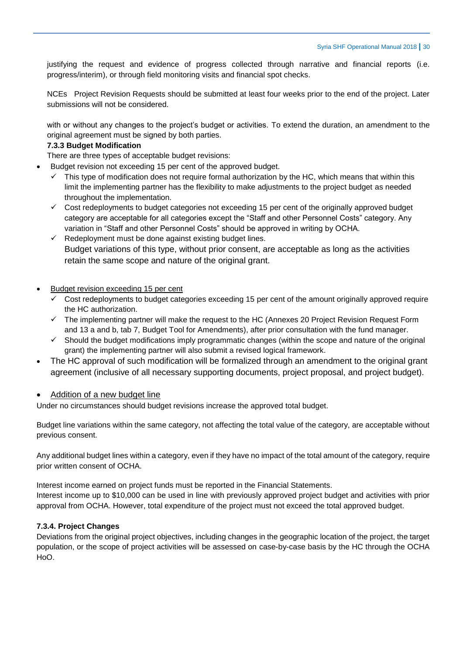justifying the request and evidence of progress collected through narrative and financial reports (i.e. progress/interim), or through field monitoring visits and financial spot checks.

NCEs Project Revision Requests should be submitted at least four weeks prior to the end of the project. Later submissions will not be considered.

with or without any changes to the project's budget or activities. To extend the duration, an amendment to the original agreement must be signed by both parties.

## **7.3.3 Budget Modification**

There are three types of acceptable budget revisions:

- Budget revision not exceeding 15 per cent of the approved budget.
	- $\checkmark$  This type of modification does not require formal authorization by the HC, which means that within this limit the implementing partner has the flexibility to make adjustments to the project budget as needed throughout the implementation.
	- $\checkmark$  Cost redeployments to budget categories not exceeding 15 per cent of the originally approved budget category are acceptable for all categories except the "Staff and other Personnel Costs" category. Any variation in "Staff and other Personnel Costs" should be approved in writing by OCHA.
	- $\checkmark$  Redeployment must be done against existing budget lines. Budget variations of this type, without prior consent, are acceptable as long as the activities retain the same scope and nature of the original grant.
- Budget revision exceeding 15 per cent
	- $\checkmark$  Cost redeployments to budget categories exceeding 15 per cent of the amount originally approved require the HC authorization.
	- $\checkmark$  The implementing partner will make the request to the HC (Annexes 20 Project Revision Request Form and 13 a and b, tab 7, Budget Tool for Amendments), after prior consultation with the fund manager.
	- $\checkmark$  Should the budget modifications imply programmatic changes (within the scope and nature of the original grant) the implementing partner will also submit a revised logical framework.
- The HC approval of such modification will be formalized through an amendment to the original grant agreement (inclusive of all necessary supporting documents, project proposal, and project budget).

## Addition of a new budget line

Under no circumstances should budget revisions increase the approved total budget.

Budget line variations within the same category, not affecting the total value of the category, are acceptable without previous consent.

Any additional budget lines within a category, even if they have no impact of the total amount of the category, require prior written consent of OCHA.

Interest income earned on project funds must be reported in the Financial Statements. Interest income up to \$10,000 can be used in line with previously approved project budget and activities with prior approval from OCHA. However, total expenditure of the project must not exceed the total approved budget.

#### **7.3.4. Project Changes**

Deviations from the original project objectives, including changes in the geographic location of the project, the target population, or the scope of project activities will be assessed on case-by-case basis by the HC through the OCHA HoO.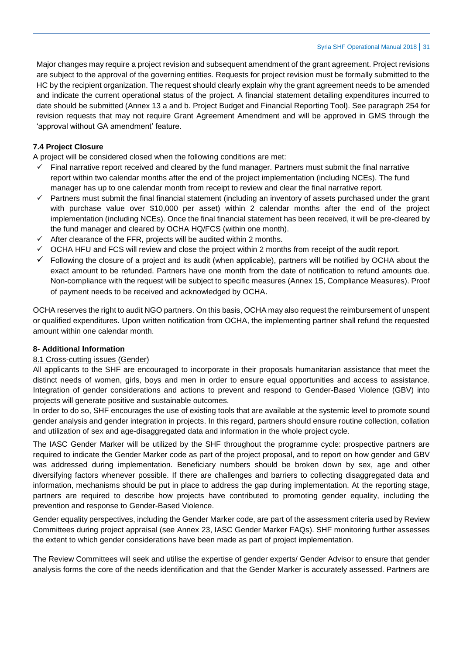Major changes may require a project revision and subsequent amendment of the grant agreement. Project revisions are subject to the approval of the governing entities. Requests for project revision must be formally submitted to the HC by the recipient organization. The request should clearly explain why the grant agreement needs to be amended and indicate the current operational status of the project. A financial statement detailing expenditures incurred to date should be submitted (Annex 13 a and b. Project Budget and Financial Reporting Tool). See paragraph 254 for revision requests that may not require Grant Agreement Amendment and will be approved in GMS through the 'approval without GA amendment' feature.

# **7.4 Project Closure**

A project will be considered closed when the following conditions are met:

- $\checkmark$  Final narrative report received and cleared by the fund manager. Partners must submit the final narrative report within two calendar months after the end of the project implementation (including NCEs). The fund manager has up to one calendar month from receipt to review and clear the final narrative report.
- $\checkmark$  Partners must submit the final financial statement (including an inventory of assets purchased under the grant with purchase value over \$10,000 per asset) within 2 calendar months after the end of the project implementation (including NCEs). Once the final financial statement has been received, it will be pre-cleared by the fund manager and cleared by OCHA HQ/FCS (within one month).
- $\checkmark$  After clearance of the FFR, projects will be audited within 2 months.
- $\checkmark$  OCHA HFU and FCS will review and close the project within 2 months from receipt of the audit report.
- $\checkmark$  Following the closure of a project and its audit (when applicable), partners will be notified by OCHA about the exact amount to be refunded. Partners have one month from the date of notification to refund amounts due. Non-compliance with the request will be subject to specific measures (Annex 15, Compliance Measures). Proof of payment needs to be received and acknowledged by OCHA.

OCHA reserves the right to audit NGO partners. On this basis, OCHA may also request the reimbursement of unspent or qualified expenditures. Upon written notification from OCHA, the implementing partner shall refund the requested amount within one calendar month.

## **8- Additional Information**

## 8.1 Cross-cutting issues (Gender)

All applicants to the SHF are encouraged to incorporate in their proposals humanitarian assistance that meet the distinct needs of women, girls, boys and men in order to ensure equal opportunities and access to assistance. Integration of gender considerations and actions to prevent and respond to Gender-Based Violence (GBV) into projects will generate positive and sustainable outcomes.

In order to do so, SHF encourages the use of existing tools that are available at the systemic level to promote sound gender analysis and gender integration in projects. In this regard, partners should ensure routine collection, collation and utilization of sex and age-disaggregated data and information in the whole project cycle.

The IASC Gender Marker will be utilized by the SHF throughout the programme cycle: prospective partners are required to indicate the Gender Marker code as part of the project proposal, and to report on how gender and GBV was addressed during implementation. Beneficiary numbers should be broken down by sex, age and other diversifying factors whenever possible. If there are challenges and barriers to collecting disaggregated data and information, mechanisms should be put in place to address the gap during implementation. At the reporting stage, partners are required to describe how projects have contributed to promoting gender equality, including the prevention and response to Gender-Based Violence.

Gender equality perspectives, including the Gender Marker code, are part of the assessment criteria used by Review Committees during project appraisal (see Annex 23, IASC Gender Marker FAQs). SHF monitoring further assesses the extent to which gender considerations have been made as part of project implementation.

The Review Committees will seek and utilise the expertise of gender experts/ Gender Advisor to ensure that gender analysis forms the core of the needs identification and that the Gender Marker is accurately assessed. Partners are